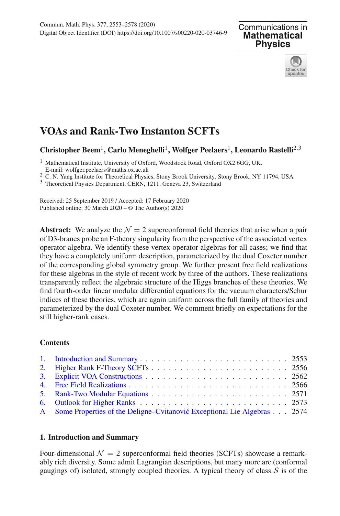



# **VOAs and Rank-Two Instanton SCFTs**

# **Christopher Beem**1**, Carlo Meneghelli**1**, Wolfger Peelaers**1**, Leonardo Rastelli**2,<sup>3</sup>

<sup>1</sup> Mathematical Institute, University of Oxford, Woodstock Road, Oxford OX2 6GG, UK.<br>
E-mail: wolfger.peelaers@maths.ox.ac.uk

<sup>2</sup> C. N. Yang Institute for Theoretical Physics, Stony Brook University, Stony Brook, NY 11794, USA  $3$  Theoretical Physics Department, CERN, 1211, Geneva 23, Switzerland

Received: 25 September 2019 / Accepted: 17 February 2020 Published online: 30 March 2020 – © The Author(s) 2020

**Abstract:** We analyze the  $\mathcal{N} = 2$  superconformal field theories that arise when a pair of D3-branes probe an F-theory singularity from the perspective of the associated vertex operator algebra. We identify these vertex operator algebras for all cases; we find that they have a completely uniform description, parameterized by the dual Coxeter number of the corresponding global symmetry group. We further present free field realizations for these algebras in the style of recent work by three of the authors. These realizations transparently reflect the algebraic structure of the Higgs branches of these theories. We find fourth-order linear modular differential equations for the vacuum characters/Schur indices of these theories, which are again uniform across the full family of theories and parameterized by the dual Coxeter number. We comment briefly on expectations for the still higher-rank cases.

## **Contents**

| A Some Properties of the Deligne–Cvitanović Exceptional Lie Algebras 2574 |  |
|---------------------------------------------------------------------------|--|

## <span id="page-0-0"></span>**1. Introduction and Summary**

Four-dimensional  $\mathcal{N} = 2$  superconformal field theories (SCFTs) showcase a remarkably rich diversity. Some admit Lagrangian descriptions, but many more are (conformal gaugings of) isolated, strongly coupled theories. A typical theory of class  $S$  is of the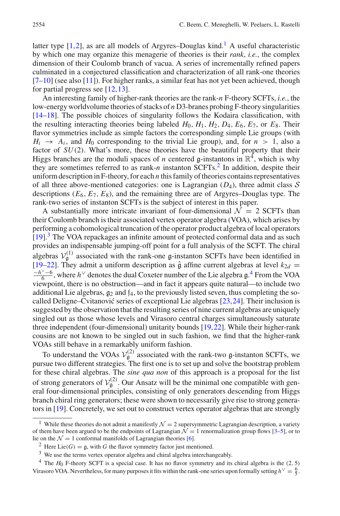latter type  $[1,2]$  $[1,2]$ , as are all models of Argyres–Douglas kind.<sup>[1](#page-1-0)</sup> A useful characteristic by which one may organize this menagerie of theories is their *rank*, *i.e.*, the complex dimension of their Coulomb branch of vacua. A series of incrementally refined papers culminated in a conjectured classification and characterization of all rank-one theories  $[7-10]$  $[7-10]$  (see also [\[11\]](#page-24-4)). For higher ranks, a similar feat has not yet been achieved, though for partial progress see [\[12](#page-24-5)[,13](#page-24-6)].

An interesting family of higher-rank theories are the rank-*n* F-theory SCFTs, *i.e.*, the low-energy worldvolume theories of stacks of *n* D3-branes probing F-theory singularities [\[14](#page-24-7)[–18](#page-24-8)]. The possible choices of singularity follows the Kodaira classification, with the resulting interacting theories being labeled  $H_0$ ,  $H_1$ ,  $H_2$ ,  $D_4$ ,  $E_6$ ,  $E_7$ , or  $E_8$ . Their flavor symmetries include as simple factors the corresponding simple Lie groups (with  $H_i \rightarrow A_i$ , and  $H_0$  corresponding to the trivial Lie group), and, for  $n > 1$ , also a factor of *SU*(2). What's more, these theories have the beautiful property that their Higgs branches are the moduli spaces of *n* centered  $\mathfrak{g}$ -instantons in  $\mathbb{R}^4$ , which is why they are sometimes referred to as rank-*n* instanton SCFTs[.2](#page-1-1) In addition, despite their uniform description in F-theory, for each *n* this family of theories contains representatives of all three above-mentioned categories: one is Lagrangian (*D*4), three admit class *S* descriptions (*E*6, *E*7, *E*8), and the remaining three are of Argyres–Douglas type. The rank-two series of instanton SCFTs is the subject of interest in this paper.

A substantially more intricate invariant of four-dimensional  $\mathcal{N} = 2$  SCFTs than their Coulomb branch is their associated vertex operator algebra (VOA), which arises by performing a cohomological truncation of the operator product algebra of local operators [\[19](#page-24-9)].<sup>[3](#page-1-2)</sup> The VOA repackages an infinite amount of protected conformal data and as such provides an indispensable jumping-off point for a full analysis of the SCFT. The chiral algebras  $V_g^{(1)}$  associated with the rank-one g-instanton SCFTs have been identified in [\[19](#page-24-9)[–22](#page-25-0)]. They admit a uniform description as  $\hat{g}$  affine current algebras at level  $k_{2d}$  =  $\frac{-h^{\vee}-6}{6}$ , where *h*<sup>∨</sup> denotes the dual Coxeter number of the Lie algebra g.<sup>[4](#page-1-3)</sup> From the VOA viewpoint, there is no obstruction—and in fact it appears quite natural—to include two additional Lie algebras,  $g_2$  and  $f_4$ , to the previously listed seven, thus completing the socalled Deligne–Cvitanović series of exceptional Lie algebras  $[23,24]$  $[23,24]$ . Their inclusion is suggested by the observation that the resulting series of nine current algebras are uniquely singled out as those whose levels and Virasoro central charges simultaneously saturate three independent (four-dimensional) unitarity bounds [\[19](#page-24-9)[,22](#page-25-0)]. While their higher-rank cousins are not known to be singled out in such fashion, we find that the higher-rank VOAs still behave in a remarkably uniform fashion.

To understand the VOAs  $V_g^{(2)}$  associated with the rank-two g-instanton SCFTs, we pursue two different strategies. The first one is to set up and solve the bootstrap problem for these chiral algebras. The *sine qua non* of this approach is a proposal for the list of strong generators of  $V_g^{(2)}$ . Our Ansatz will be the minimal one compatible with general four-dimensional principles, consisting of only generators descending from Higgs branch chiral ring generators; these were shown to necessarily give rise to strong generators in [\[19](#page-24-9)]. Concretely, we set out to construct vertex operator algebras that are strongly

<span id="page-1-0"></span><sup>&</sup>lt;sup>1</sup> While these theories do not admit a manifestly  $\mathcal{N} = 2$  supersymmetric Lagrangian description, a variety of them have been argued to be the endpoints of Lagrangian  $\mathcal{N} = 1$  renormalization group flows [\[3](#page-24-10)[–5](#page-24-11)], or to lie on the  $\mathcal{N} = 1$  conformal manifolds of Lagrangian theories [\[6\]](#page-24-12).

<sup>&</sup>lt;sup>2</sup> Here Lie(*G*) =  $\mathfrak{g}$ , with *G* the flavor symmetry factor just mentioned.

<span id="page-1-2"></span><span id="page-1-1"></span><sup>&</sup>lt;sup>3</sup> We use the terms vertex operator algebra and chiral algebra interchangeably.

<span id="page-1-3"></span> $4$  The  $H_0$  F-theory SCFT is a special case. It has no flavor symmetry and its chiral algebra is the  $(2, 5)$ Virasoro VOA. Nevertheless, for many purposes it fits within the rank-one series upon formally setting  $h^{\vee} = \frac{6}{5}$ .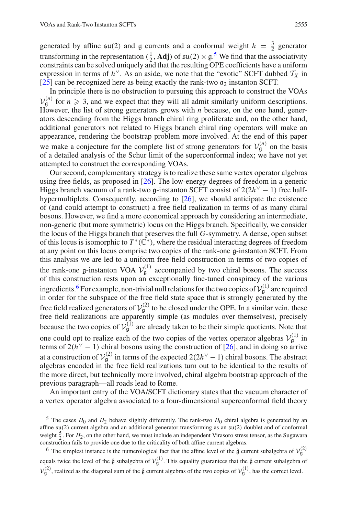generated by affine  $\mathfrak{su}(2)$  and  $\mathfrak g$  currents and a conformal weight  $h = \frac{3}{2}$  generator transforming in the representation  $(\frac{1}{2}, \mathbf{Adj})$  of  $\mathfrak{su}(2) \times \mathfrak{g}$ .<sup>[5](#page-2-0)</sup> We find that the associativity constraints can be solved uniquely and that the resulting OPE coefficients have a uniform expression in terms of  $h^{\vee}$ . As an aside, we note that the "exotic" SCFT dubbed  $T_X$  in [\[25\]](#page-25-3) can be recognized here as being exactly the rank-two  $\alpha_2$  instanton SCFT.

In principle there is no obstruction to pursuing this approach to construct the VOAs  $V_{\rm g}^{(n)}$  for  $n \geq 3$ , and we expect that they will all admit similarly uniform descriptions. However, the list of strong generators grows with *n* because, on the one hand, generators descending from the Higgs branch chiral ring proliferate and, on the other hand, additional generators not related to Higgs branch chiral ring operators will make an appearance, rendering the bootstrap problem more involved. At the end of this paper we make a conjecture for the complete list of strong generators for  $V_{\mathfrak{g}}^{(n)}$  on the basis of a detailed analysis of the Schur limit of the superconformal index; we have not yet attempted to construct the corresponding VOAs.

Our second, complementary strategy is to realize these same vertex operator algebras using free fields, as proposed in [\[26](#page-25-4)]. The low-energy degrees of freedom in a generic Higgs branch vacuum of a rank-two g-instanton SCFT consist of 2(2*h*<sup>∨</sup> − 1) free halfhypermultiplets. Consequently, according to [\[26\]](#page-25-4), we should anticipate the existence of (and could attempt to construct) a free field realization in terms of as many chiral bosons. However, we find a more economical approach by considering an intermediate, non-generic (but more symmetric) locus on the Higgs branch. Specifically, we consider the locus of the Higgs branch that preserves the full *G*-symmetry. A dense, open subset of this locus is isomorphic to  $T^*(\mathbb{C}^*)$ , where the residual interacting degrees of freedom at any point on this locus comprise two copies of the rank-one g-instanton SCFT. From this analysis we are led to a uniform free field construction in terms of two copies of the rank-one g-instanton VOA  $V_g^{(1)}$  accompanied by two chiral bosons. The success of this construction rests upon an exceptionally fine-tuned conspiracy of the various ingredients.<sup>[6](#page-2-1)</sup> For example, non-trivial null relations for the two copies of  $V_g^{(1)}$  are required in order for the subspace of the free field state space that is strongly generated by the free field realized generators of  $V_g^{(2)}$  to be closed under the OPE. In a similar vein, these free field realizations are apparently simple (as modules over themselves), precisely because the two copies of  $V_g^{(1)}$  are already taken to be their simple quotients. Note that one could opt to realize each of the two copies of the vertex operator algebras  $V_{\mathfrak{g}}^{(1)}$  in terms of  $2(h^{\vee} - 1)$  chiral bosons using the construction of [\[26\]](#page-25-4), and in doing so arrive at a construction of  $V_g^{(2)}$  in terms of the expected 2(2*h*<sup>∨</sup> − 1) chiral bosons. The abstract algebras encoded in the free field realizations turn out to be identical to the results of the more direct, but technically more involved, chiral algebra bootstrap approach of the previous paragraph—all roads lead to Rome.

An important entry of the VOA/SCFT dictionary states that the vacuum character of a vertex operator algebra associated to a four-dimensional superconformal field theory

<span id="page-2-0"></span><sup>&</sup>lt;sup>5</sup> The cases  $H_0$  and  $H_2$  behave slightly differently. The rank-two  $H_0$  chiral algebra is generated by an affine su(2) current algebra and an additional generator transforming as an su(2) doublet and of conformal weight  $\frac{5}{2}$ . For  $H_2$ , on the other hand, we must include an independent Virasoro stress tensor, as the Sugawara construction fails to provide one due to the criticality of both affine current algebras.

<span id="page-2-1"></span><sup>&</sup>lt;sup>6</sup> The simplest instance is the numerological fact that the affine level of the  $\hat{g}$  current subalgebra of  $V_g^{(2)}$ equals twice the level of the  $\hat{g}$  subalgebra of  $V_g^{(1)}$ . This equality guarantees that the  $\hat{g}$  current subalgebra of  $V_g^{(2)}$ , realized as the diagonal sum of the  $\hat{g}$  current algebras of the two copies of  $V_g^{(1)}$ , has the correct level.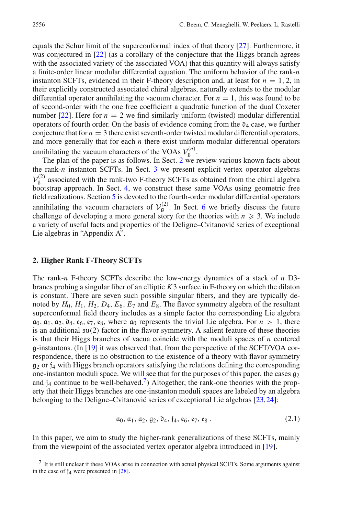equals the Schur limit of the superconformal index of that theory [\[27\]](#page-25-5). Furthermore, it was conjectured in [\[22](#page-25-0)] (as a corollary of the conjecture that the Higgs branch agrees with the associated variety of the associated VOA) that this quantity will always satisfy a finite-order linear modular differential equation. The uniform behavior of the rank-*n* instanton SCFTs, evidenced in their F-theory description and, at least for  $n = 1, 2$ , in their explicitly constructed associated chiral algebras, naturally extends to the modular differential operator annihilating the vacuum character. For  $n = 1$ , this was found to be of second-order with the one free coefficient a quadratic function of the dual Coxeter number  $[22]$ . Here for  $n = 2$  we find similarly uniform (twisted) modular differential operators of fourth order. On the basis of evidence coming from the  $\mathfrak{d}_4$  case, we further conjecture that for  $n = 3$  there exist seventh-order twisted modular differential operators, and more generally that for each *n* there exist uniform modular differential operators annihilating the vacuum characters of the VOAs  $V_{\mathfrak{g}}^{(n)}$ .

The plan of the paper is as follows. In Sect. [2](#page-3-0) we review various known facts about the rank-*n* instanton SCFTs. In Sect. [3](#page-9-0) we present explicit vertex operator algebras  $V_g^{(2)}$  associated with the rank-two F-theory SCFTs as obtained from the chiral algebra bootstrap approach. In Sect. [4,](#page-13-0) we construct these same VOAs using geometric free field realizations. Section [5](#page-18-0) is devoted to the fourth-order modular differential operators annihilating the vacuum characters of  $V_g^{(2)}$ . In Sect. [6](#page-20-0) we briefly discuss the future challenge of developing a more general story for the theories with  $n \geqslant 3$ . We include a variety of useful facts and properties of the Deligne–Cvitanović series of exceptional Lie algebras in "Appendix A".

#### <span id="page-3-0"></span>**2. Higher Rank F-Theory SCFTs**

The rank-*n* F-theory SCFTs describe the low-energy dynamics of a stack of *n* D3 branes probing a singular fiber of an elliptic *K*3 surface in F-theory on which the dilaton is constant. There are seven such possible singular fibers, and they are typically denoted by  $H_0$ ,  $H_1$ ,  $H_2$ ,  $D_4$ ,  $E_6$ ,  $E_7$  and  $E_8$ . The flavor symmetry algebra of the resultant superconformal field theory includes as a simple factor the corresponding Lie algebra  $a_0, a_1, a_2, a_4, e_6, e_7, e_8$ , where  $a_0$  represents the trivial Lie algebra. For  $n > 1$ , there is an additional  $\mathfrak{su}(2)$  factor in the flavor symmetry. A salient feature of these theories is that their Higgs branches of vacua coincide with the moduli spaces of *n* centered g-instantons. (In  $[19]$  $[19]$  it was observed that, from the perspective of the SCFT/VOA correspondence, there is no obstruction to the existence of a theory with flavor symmetry  $g_2$  or  $f_4$  with Higgs branch operators satisfying the relations defining the corresponding one-instanton moduli space. We will see that for the purposes of this paper, the cases  $g_2$ and  $f_4$  continue to be well-behaved.<sup>7</sup>) Altogether, the rank-one theories with the property that their Higgs branches are one-instanton moduli spaces are labeled by an algebra belonging to the Deligne–Cvitanović series of exceptional Lie algebras  $[23,24]$  $[23,24]$  $[23,24]$ :

$$
\mathfrak{a}_0, \mathfrak{a}_1, \mathfrak{a}_2, \mathfrak{g}_2, \mathfrak{d}_4, \mathfrak{f}_4, \mathfrak{e}_6, \mathfrak{e}_7, \mathfrak{e}_8. \tag{2.1}
$$

In this paper, we aim to study the higher-rank generalizations of these SCFTs, mainly from the viewpoint of the associated vertex operator algebra introduced in [\[19\]](#page-24-9).

<span id="page-3-1"></span><sup>7</sup> It is still unclear if these VOAs arise in connection with actual physical SCFTs. Some arguments against in the case of  $f_4$  were presented in [\[28\]](#page-25-6).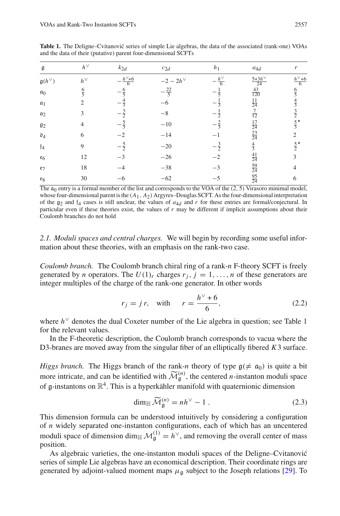| g                        | $h^{\vee}$    | $k_{2d}$       | $c_{2d}$        | h <sub>1</sub> | $a_{4d}$                         | r             |
|--------------------------|---------------|----------------|-----------------|----------------|----------------------------------|---------------|
| $\mathfrak{g}(h^{\vee})$ | $h^{\vee}$    | $h^{\vee}$ +6  | $-2-2h^{\vee}$  | $h^{\vee}$     | $5+3h^{\vee}$<br>$\overline{24}$ | $h^{\vee}$ +6 |
| a <sub>0</sub>           | $\frac{6}{5}$ |                | $-\frac{22}{5}$ |                | $\frac{43}{120}$                 | $\frac{6}{5}$ |
| $a_1$                    | 2             |                |                 |                | $\frac{11}{24}$                  |               |
| $a_2$                    | 3             |                | $-8-$           | $\overline{2}$ | $\overline{12}$                  | $\frac{3}{2}$ |
| $\mathfrak{g}_2$         | 4             |                | $-10$           | - ≑ุี          | $\frac{17}{24}$                  |               |
| $\mathfrak{d}_4$         | 6             |                | $-14$           |                | $\frac{23}{24}$                  | 2             |
| $\mathfrak{f}_4$         | 9             | $-\frac{5}{2}$ | $-20$           | $-\frac{3}{2}$ | $\frac{4}{3}$                    | $rac{5}{2}$ * |
| $\varepsilon_6$          | 12            |                | $-26$           | $-2$           | $\frac{41}{24}$                  | 3             |
| e <sub>7</sub>           | 18            |                | $-38$           | $-3$           | $\frac{59}{24}$                  | 4             |
| $\mathfrak{e}_8$         | 30            |                | $-62$           | $-5$           | $\frac{95}{24}$                  | 6             |
|                          |               |                |                 |                |                                  |               |

<span id="page-4-0"></span>**Table 1.** The Deligne–Cvitanović series of simple Lie algebras, the data of the associated (rank-one) VOAs and the data of their (putative) parent four-dimensional SCFTs

The  $a_0$  entry is a formal member of the list and corresponds to the VOA of the  $(2, 5)$  Virasoro minimal model, whose four-dimensional parent is the (*A*1, *A*2) Argyres–Douglas SCFT. As the four-dimensional interpretation of the  $g_2$  and  $f_4$  cases is still unclear, the values of  $a_{4d}$  and r for these entries are formal/conjectural. In particular even if these theories exist, the values of *r* may be different if implicit assumptions about their Coulomb branches do not hold

*2.1. Moduli spaces and central charges.* We will begin by recording some useful information about these theories, with an emphasis on the rank-two case.

*Coulomb branch.* The Coulomb branch chiral ring of a rank-*n* F-theory SCFT is freely generated by *n* operators. The  $U(1)_r$  charges  $r_j$ ,  $j = 1, \ldots, n$  of these generators are integer multiples of the charge of the rank-one generator. In other words

<span id="page-4-2"></span>
$$
r_j = j r, \quad \text{with} \quad r = \frac{h^{\vee} + 6}{6}, \tag{2.2}
$$

where *h*<sup>∨</sup> denotes the dual Coxeter number of the Lie algebra in question; see Table [1](#page-4-0) for the relevant values.

In the F-theoretic description, the Coulomb branch corresponds to vacua where the D3-branes are moved away from the singular fiber of an elliptically fibered *K*3 surface.

*Higgs branch*. The Higgs branch of the rank-*n* theory of type  $g(\neq \alpha_0)$  is quite a bit D3-branes are moved away from the singular<br>*Higgs branch*. The Higgs branch of the ran<br>more intricate, and can be identified with  $\widetilde{M}$ for the rank *n* diety of type  $g(\gamma - d_0)$  is quite a situatified with  $\widetilde{\mathcal{M}}_g^{(n)}$ , the centered *n*-instanton moduli space<br>a hyperkähler manifold with quaternionic dimension<br>dim<sub>H</sub>  $\widetilde{\mathcal{M}}_g^{(n)} = nh^{\vee} - 1$ . (2. of  $\alpha$ -instantons on  $\mathbb{R}^4$ . This is a hyperkähler manifold with quaternionic dimension

<span id="page-4-1"></span>
$$
\dim_{\mathbb{H}} \widetilde{\mathcal{M}}_{\mathfrak{g}}^{(n)} = nh^{\vee} - 1.
$$
 (2.3)

This dimension formula can be understood intuitively by considering a configuration of *n* widely separated one-instanton configurations, each of which has an uncentered moduli space of dimension dim<sub>H</sub>  $\mathcal{M}_{\mathfrak{g}}^{(1)} = h^{\vee}$ , and removing the overall center of mass position.

As algebraic varieties, the one-instanton moduli spaces of the Deligne–Cvitanović series of simple Lie algebras have an economical description. Their coordinate rings are generated by adjoint-valued moment maps  $\mu_a$  subject to the Joseph relations [\[29](#page-25-7)]. To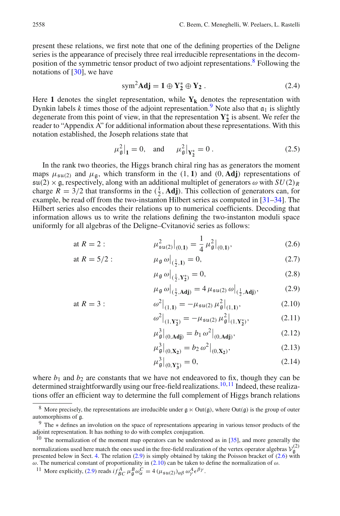present these relations, we first note that one of the defining properties of the Deligne series is the appearance of precisely three real irreducible representations in the decomposition of the symmetric tensor product of two adjoint representations[.8](#page-5-0) Following the notations of  $[30]$  $[30]$ , we have

<span id="page-5-7"></span>
$$
\text{sym}^2 \mathbf{Adj} = \mathbf{1} \oplus \mathbf{Y}_2^* \oplus \mathbf{Y}_2 \,. \tag{2.4}
$$

Here 1 denotes the singlet representation, while  $Y_k$  denotes the representation with Dynkin labels *k* times those of the adjoint representation.<sup>[9](#page-5-1)</sup> Note also that  $a_1$  is slightly degenerate from this point of view, in that the representation  $Y_2^*$  is absent. We refer the reader to "Appendix A" for additional information about these representations. With this notation established, the Joseph relations state that

<span id="page-5-8"></span>
$$
\mu_{\mathfrak{g}}^2|_1 = 0
$$
, and  $\mu_{\mathfrak{g}}^2|_{Y_2^*} = 0$ . (2.5)

In the rank two theories, the Higgs branch chiral ring has as generators the moment maps  $\mu_{\text{su}(2)}$  and  $\mu_{\text{g}}$ , which transform in the (1, 1) and (0, Adj) representations of  $\mathfrak{su}(2)\times\mathfrak{g}$ , respectively, along with an additional multiplet of generators  $\omega$  with  $SU(2)_R$ charge  $R = 3/2$  that transforms in the  $(\frac{1}{2}, \text{Adj})$ . This collection of generators can, for example, be read off from the two-instanton Hilbert series as computed in [\[31](#page-25-9)[–34](#page-25-10)]. The Hilbert series also encodes their relations up to numerical coefficients. Decoding that information allows us to write the relations defining the two-instanton moduli space uniformly for all algebras of the Deligne–Cvitanović series as follows:

at 
$$
R = 2
$$
:  $\mu_{\mathfrak{su}(2)}^2|_{(0,1)} = \frac{1}{4} \mu_{\mathfrak{g}}^2|_{(0,1)},$  (2.6)

at 
$$
R = 5/2
$$
:  $\mu_{\mathfrak{g}} \omega \big|_{(\frac{1}{2}, 1)} = 0,$  (2.7)

<span id="page-5-10"></span><span id="page-5-5"></span><span id="page-5-4"></span>
$$
\mu_{\mathfrak{g}} \,\omega\big|_{(\frac{1}{2}, \mathbf{Y}_2^*)} = 0,\tag{2.8}
$$

$$
\mu_{\mathfrak{g}} \omega \big|_{(\frac{1}{2}, \mathbf{Adj})} = 4 \mu_{\mathfrak{su}(2)} \omega \big|_{(\frac{1}{2}, \mathbf{Adj})},\tag{2.9}
$$

at 
$$
R = 3
$$
:  
\n
$$
\omega^2|_{(1,1)} = -\mu_{\mathfrak{su}(2)} \mu_{\mathfrak{g}}^2|_{(1,1)},
$$
\n(2.10)

<span id="page-5-6"></span>
$$
\omega^2\big|_{(1,\mathbf{Y}_2^*)} = -\mu_{\mathfrak{su}(2)}\,\mu_\mathfrak{g}^2\big|_{(1,\mathbf{Y}_2^*)},\tag{2.11}
$$

$$
\mu_{\mathfrak{g}}^3|_{(0,\text{Adj})} = b_1 \,\omega^2|_{(0,\text{Adj})},\tag{2.12}
$$

$$
\mu_{\mathfrak{g}}^3|_{(0,\mathbf{X}_2)} = b_2 \,\omega^2|_{(0,\mathbf{X}_2)},\tag{2.13}
$$

<span id="page-5-9"></span>
$$
\mu_{\mathfrak{g}}^3|_{(0,\mathbf{Y}_3^*)} = 0,\tag{2.14}
$$

where  $b_1$  and  $b_2$  are constants that we have not endeavored to fix, though they can be determined straightforwardly using our free-field realizations.<sup>[10](#page-5-2)[,11](#page-5-3)</sup> Indeed, these realizations offer an efficient way to determine the full complement of Higgs branch relations

<span id="page-5-0"></span><sup>&</sup>lt;sup>8</sup> More precisely, the representations are irreducible under  $g \ltimes Out(g)$ , where Out(g) is the group of outer automorphisms of g.

<span id="page-5-1"></span><sup>9</sup> The <sup>∗</sup> defines an involution on the space of representations appearing in various tensor products of the adjoint representation. It has nothing to do with complex conjugation.

<span id="page-5-2"></span> $10$  The normalization of the moment map operators can be understood as in [\[35](#page-25-11)], and more generally the normalizations used here match the ones used in the free-field realization of the vertex operator algebras  $V_{\mathfrak{g}}^{(2)}$ presented below in Sect. [4.](#page-13-0) The relation [\(2.9\)](#page-5-4) is simply obtained by taking the Poisson bracket of [\(2.6\)](#page-5-5) with ω. The numerical constant of proportionality in  $(2.10)$  can be taken to define the normalization of ω.

<span id="page-5-3"></span><sup>&</sup>lt;sup>11</sup> More explicitly, [\(2.9\)](#page-5-4) reads  $i f_{BC}^A \mu_{\mathfrak{g}}^B \omega_{\alpha}^C = 4 (\mu_{\mathfrak{su}(2)})_{\alpha\beta} \omega_{\gamma}^A \epsilon^{\beta\gamma}$ .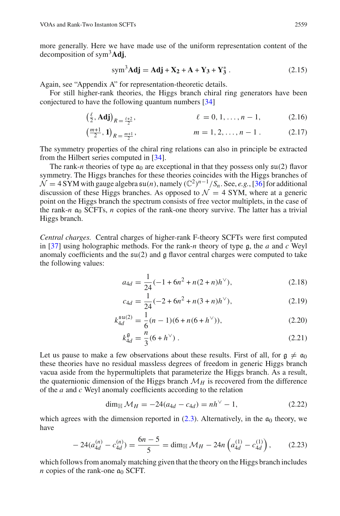more generally. Here we have made use of the uniform representation content of the decomposition of sym3**Adj**,

<span id="page-6-2"></span><span id="page-6-1"></span>
$$
\text{sym}^3 \text{Adj} = \text{Adj} + \text{X}_2 + \text{A} + \text{Y}_3 + \text{Y}_3^* \,. \tag{2.15}
$$

Again, see "Appendix A" for representation-theoretic details.<br>For still higher-rank theories, the Higgs branch chiral r<br>conjectured to have the following quantum numbers [34]<br> $(\frac{\ell}{2}, \text{Adj})_{R = \frac{\ell+2}{2}}, \qquad \ell = 0, 1,$ For still higher-rank theories, the Higgs branch chiral ring generators have been conjectured to have the following quantum numbers [\[34\]](#page-25-10)

$$
\left(\frac{\ell}{2}, \mathbf{Adj}\right)_{R = \frac{\ell+2}{2}}, \qquad \ell = 0, 1, \dots, n-1, \tag{2.16}
$$

$$
\left(\frac{m+1}{2}, 1\right)_{R=\frac{m+1}{2}}, \qquad m=1,2,\ldots,n-1. \qquad (2.17)
$$

The symmetry properties of the chiral ring relations can also in principle be extracted from the Hilbert series computed in [\[34](#page-25-10)].

The rank-*n* theories of type  $\mathfrak{a}_0$  are exceptional in that they possess only  $\mathfrak{su}(2)$  flavor symmetry. The Higgs branches for these theories coincides with the Higgs branches of  $N = 4$  SYM with gauge algebra  $\mathfrak{su}(n)$ , namely  $(\mathbb{C}^2)^{n-1}/S_n$ . See, *e.g.*, [\[36](#page-25-12)] for additional discussion of these Higgs branches. As opposed to  $\mathcal{N} = 4$  SYM, where at a generic point on the Higgs branch the spectrum consists of free vector multiplets, in the case of the rank- $n \neq 0$  SCFTs,  $n$  copies of the rank-one theory survive. The latter has a trivial Higgs branch.

*Central charges.* Central charges of higher-rank F-theory SCFTs were first computed in [\[37\]](#page-25-13) using holographic methods. For the rank-*n* theory of type g, the *a* and *c* Weyl anomaly coefficients and the  $\mathfrak{su}(2)$  and g flavor central charges were computed to take the following values:

<span id="page-6-0"></span>
$$
a_{4d} = \frac{1}{24}(-1 + 6n^2 + n(2+n)h^{\vee}), \tag{2.18}
$$

$$
c_{4d} = \frac{1}{24}(-2 + 6n^2 + n(3+n)h^{\vee}), \tag{2.19}
$$

$$
k_{4d}^{\mathfrak{su}(2)} = \frac{1}{6}(n-1)(6+n(6+h^{\vee})), \tag{2.20}
$$

$$
k_{4d}^{\mathfrak{g}} = \frac{n}{3} (6 + h^{\vee}) \ . \tag{2.21}
$$

Let us pause to make a few observations about these results. First of all, for  $\alpha \neq \alpha_0$ these theories have no residual massless degrees of freedom in generic Higgs branch vacua aside from the hypermultiplets that parameterize the Higgs branch. As a result, the quaternionic dimension of the Higgs branch  $M_H$  is recovered from the difference of the *a* and *c* Weyl anomaly coefficients according to the relation

$$
\dim_{\mathbb{H}} \mathcal{M}_H = -24(a_{4d} - c_{4d}) = nh^{\vee} - 1,\tag{2.22}
$$

which agrees with the dimension reported in  $(2.3)$ . Alternatively, in the  $\mathfrak{a}_0$  theory, we have

$$
-24(a_{4d}^{(n)} - c_{4d}^{(n)}) = \frac{6n-5}{5} = \dim_{\mathbb{H}} \mathcal{M}_H - 24n \left( a_{4d}^{(1)} - c_{4d}^{(1)} \right), \tag{2.23}
$$

which follows from anomaly matching given that the theory on the Higgs branch includes *n* copies of the rank-one  $\alpha_0$  SCFT.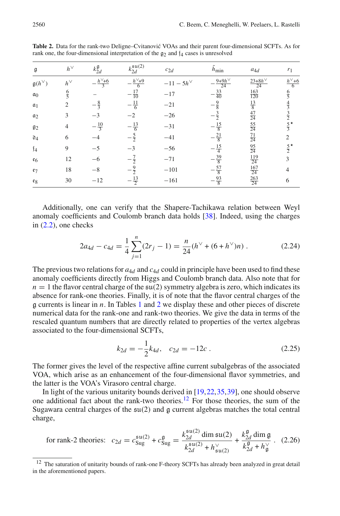| g                        | $h^{\vee}$    | $k_{2d}^{\mathfrak{g}}$ | $k_{2d}^{\mathfrak{su}(2)}$ | $c_{2d}$      | $h_{\min}$               | $a_{4d}$                  | $r_1$              |
|--------------------------|---------------|-------------------------|-----------------------------|---------------|--------------------------|---------------------------|--------------------|
| $\mathfrak{g}(h^{\vee})$ | $h^{\vee}$    | $\frac{h^{\vee}+6}{3}$  | $\frac{h^{\vee}+9}{6}$      | $-11-5h^\vee$ | $\frac{9+9h^{\vee}}{24}$ | $\frac{23+8h^{\vee}}{24}$ | $h^{\vee}$ +6<br>6 |
| a <sub>0</sub>           | $\frac{6}{5}$ |                         | $\frac{17}{10}$             | $-17$         | $-\frac{33}{40}$         | $\frac{163}{120}$         | $\frac{6}{5}$      |
| $a_1$                    | 2             | $-\frac{8}{3}$          | $-\frac{11}{6}$             | $-21$         | $-\frac{9}{8}$           | $rac{13}{8}$              | $\frac{4}{3}$      |
| $a_2$                    | 3             |                         | $-2$                        | $-26$         |                          | $\frac{47}{24}$           | $\frac{3}{2}$      |
| $g_2$                    |               | $-\frac{10}{3}$         | $-\frac{13}{6}$             | $-31$         | $-\frac{15}{8}$          | $\frac{55}{24}$           | $rac{5}{3}$        |
| $\mathfrak{d}_4$         | 6             |                         | $-\frac{5}{2}$              | $-41$         | $-\frac{21}{8}$          | $\frac{71}{24}$           | $\overline{2}$     |
| $\mathfrak{f}_4$         | 9             | $-5$                    |                             | $-56$         | $-\frac{15}{4}$          | $\frac{95}{24}$           | $rac{5}{2}$        |
| $\varepsilon_6$          | 12            | -6                      | $-\frac{7}{2}$              | $-71$         | $-\frac{39}{8}$          | $\frac{119}{24}$          | 3                  |
| e <sub>7</sub>           | 18            | $-8$                    | $\frac{9}{2}$               | $-101$        | $-\frac{57}{8}$          | $\frac{167}{24}$          | $\overline{4}$     |
| $e_8$                    | 30            | $-12$                   | $\frac{13}{2}$              | $-161$        | $-\frac{93}{8}$          | $\frac{263}{24}$          | 6                  |

<span id="page-7-0"></span>**Table 2.** Data for the rank-two Deligne–Cvitanović VOAs and their parent four-dimensional SCFTs. As for rank one, the four-dimensional interpretation of the  $g_2$  and  $f_4$  cases is unresolved

Additionally, one can verify that the Shapere-Tachikawa relation between Weyl anomaly coefficients and Coulomb branch data holds [\[38](#page-25-14)]. Indeed, using the charges in  $(2.2)$ , one checks

$$
2a_{4d} - c_{4d} = \frac{1}{4} \sum_{j=1}^{n} (2r_j - 1) = \frac{n}{24} (h^{\vee} + (6 + h^{\vee})n) . \tag{2.24}
$$

The previous two relations for  $a_{4d}$  and  $c_{4d}$  could in principle have been used to find these anomaly coefficients directly from Higgs and Coulomb branch data. Also note that for  $n = 1$  the flavor central charge of the  $\mathfrak{su}(2)$  symmetry algebra is zero, which indicates its absence for rank-one theories. Finally, it is of note that the flavor central charges of the g currents is linear in *n*. In Tables [1](#page-4-0) and [2](#page-7-0) we display these and other pieces of discrete numerical data for the rank-one and rank-two theories. We give the data in terms of the rescaled quantum numbers that are directly related to properties of the vertex algebras associated to the four-dimensional SCFTs,

$$
k_{2d} = -\frac{1}{2}k_{4d}, \quad c_{2d} = -12c \tag{2.25}
$$

The former gives the level of the respective affine current subalgebras of the associated VOA, which arise as an enhancement of the four-dimensional flavor symmetries, and the latter is the VOA's Virasoro central charge.

In light of the various unitarity bounds derived in [\[19](#page-24-9)[,22](#page-25-0)[,35](#page-25-11),[39\]](#page-25-15), one should observe one additional fact about the rank-two theories[.12](#page-7-1) For those theories, the sum of the Sugawara central charges of the  $\mathfrak{su}(2)$  and  $\mathfrak g$  current algebras matches the total central charge,

for rank-2 theories: 
$$
c_{2d} = c_{\text{Sug}}^{\text{su}(2)} + c_{\text{Sug}}^{\text{g}} = \frac{k_{2d}^{\text{su}(2)} \dim \text{su}(2)}{k_{2d}^{\text{su}(2)} + k_{\text{su}(2)}^{\vee}} + \frac{k_{2d}^{\text{g}} \dim \text{g}}{k_{2d}^{\text{g}} + k_{\text{g}}^{\vee}}.
$$
 (2.26)

<span id="page-7-1"></span><sup>&</sup>lt;sup>12</sup> The saturation of unitarity bounds of rank-one F-theory SCFTs has already been analyzed in great detail in the aforementioned papers.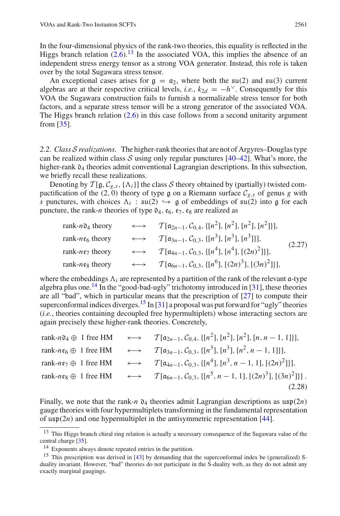In the four-dimensional physics of the rank-two theories, this equality is reflected in the Higgs branch relation  $(2.6)^{13}$  $(2.6)^{13}$  $(2.6)^{13}$  $(2.6)^{13}$  In the associated VOA, this implies the absence of an independent stress energy tensor as a strong VOA generator. Instead, this role is taken over by the total Sugawara stress tensor.

An exceptional cases arises for  $g = \alpha_2$ , where both the  $\mathfrak{su}(2)$  and  $\mathfrak{su}(3)$  current algebras are at their respective critical levels, *i.e.*,  $k_{2d} = -h^{\vee}$ . Consequently for this VOA the Sugawara construction fails to furnish a normalizable stress tensor for both factors, and a separate stress tensor will be a strong generator of the associated VOA. The Higgs branch relation [\(2.6\)](#page-5-5) in this case follows from a second unitarity argument from [\[35\]](#page-25-11).

*2.2. Class S realizations.* The higher-rank theories that are not of Argyres–Douglas type can be realized within class  $S$  using only regular punctures  $[40-42]$  $[40-42]$ . What's more, the higher-rank  $\mathfrak{d}_4$  theories admit conventional Lagrangian descriptions. In this subsection, we briefly recall these realizations.

Denoting by  $T[g, C_{g,s}, {\Lambda_i}]$  the class *S* theory obtained by (partially) twisted compactification of the (2, 0) theory of type g on a Riemann surface  $C_{g,s}$  of genus g with *s* punctures, with choices  $\Lambda_i$ :  $\mathfrak{su}(2) \hookrightarrow \mathfrak{g}$  of embeddings of  $\mathfrak{su}(2)$  into  $\mathfrak{g}$  for each puncture, the rank-*n* theories of type  $\mathfrak{d}_4$ ,  $\mathfrak{e}_6$ ,  $\mathfrak{e}_7$ ,  $\mathfrak{e}_8$  are realized as

<span id="page-8-3"></span>rank-n<sub>04</sub> theory 
$$
\longleftrightarrow
$$
  $\mathcal{T}[\alpha_{2n-1}, C_{0,4}, \{[n^2], [n^2], [n^2], [n^2]\}]$ ,  
\nrank-n<sub>66</sub> theory  $\longleftrightarrow$   $\mathcal{T}[\alpha_{3n-1}, C_{0,3}, \{[n^3], [n^3], [n^3]\}]$ ,  
\nrank-n<sub>67</sub> theory  $\longleftrightarrow$   $\mathcal{T}[\alpha_{4n-1}, C_{0,3}, \{[n^4], [n^4], [(2n)^2]\}]$ ,  
\nrank-n<sub>68</sub> theory  $\longleftrightarrow$   $\mathcal{T}[\alpha_{6n-1}, C_{0,3}, \{[n^6], [(2n)^3], [(3n)^2]\}]$ , (2.27)

where the embeddings  $\Lambda_i$  are represented by a partition of the rank of the relevant  $\alpha$ -type algebra plus one.<sup>14</sup> In the "good-bad-ugly" trichotomy introduced in [\[31\]](#page-25-9), these theories are all "bad", which in particular means that the prescription of [\[27\]](#page-25-5) to compute their superconformal indices diverges.<sup>15</sup> In [\[31\]](#page-25-9) a proposal was put forward for "ugly" theories (*i.e.*, theories containing decoupled free hypermultiplets) whose interacting sectors are again precisely these higher-rank theories. Concretely,

|  | rank-n04 $\oplus$ 1 free HM $\longleftrightarrow$ $\mathcal{T}[\mathfrak{a}_{2n-1}, \mathcal{C}_{0,4}, \{[n^2], [n^2], [n^2], [n, n-1, 1]\}],$               |
|--|--------------------------------------------------------------------------------------------------------------------------------------------------------------|
|  | rank- $n\epsilon_6 \oplus 1$ free HM $\longleftrightarrow T[\mathfrak{a}_{3n-1}, \mathcal{C}_{0,3}, \{[n^3], [n^3], [n^2, n-1, 1]\}],$                       |
|  | rank-ne <sub>7</sub> $\oplus$ 1 free HM $\longleftrightarrow$ $\mathcal{T}[\mathfrak{a}_{4n-1}, \mathcal{C}_{0,3}, \{[n^4], [n^3, n-1, 1], [(2n)^2]\}],$     |
|  | rank-ne <sub>8</sub> $\oplus$ 1 free HM $\longleftrightarrow$ $\mathcal{T}[\mathfrak{a}_{6n-1}, \mathcal{C}_{0,3}, \{[n^5, n-1, 1], [(2n)^3], [(3n)^2]\}]$ . |
|  | (2.28)                                                                                                                                                       |

Finally, we note that the rank-*n*  $\mathfrak{d}_4$  theories admit Lagrangian descriptions as  $\mathfrak{usp}(2n)$ gauge theories with four hypermultiplets transforming in the fundamental representation of  $\mathfrak{usp}(2n)$  and one hypermultiplet in the antisymmetric representation [\[44\]](#page-25-18).

<sup>&</sup>lt;sup>13</sup> This Higgs branch chiral ring relation is actually a necessary consequence of the Sugawara value of the central charge [\[35\]](#page-25-11).

<span id="page-8-1"></span><span id="page-8-0"></span><sup>14</sup> Exponents always denote repeated entries in the partition.

<span id="page-8-2"></span><sup>&</sup>lt;sup>15</sup> This prescription was derived in [\[43\]](#page-25-19) by demanding that the superconformal index be (generalized) Sduality invariant. However, "bad" theories do not participate in the S-duality web, as they do not admit any exactly marginal gaugings.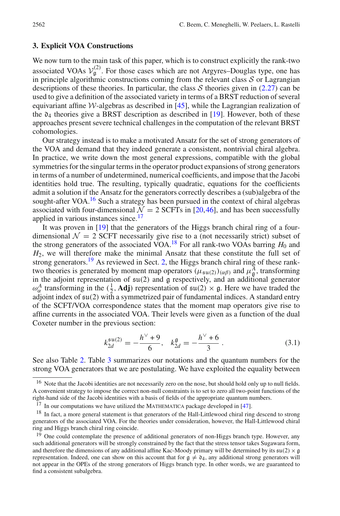#### <span id="page-9-0"></span>**3. Explicit VOA Constructions**

We now turn to the main task of this paper, which is to construct explicitly the rank-two associated VOAs  $V_g^{(2)}$ . For those cases which are not Argyres–Douglas type, one has in principle algorithmic constructions coming from the relevant class *S* or Lagrangian descriptions of these theories. In particular, the class  $S$  theories given in [\(2.27\)](#page-8-3) can be used to give a definition of the associated variety in terms of a BRST reduction of several equivariant affine  $W$ -algebras as described in [\[45](#page-25-20)], while the Lagrangian realization of the  $\mathfrak{d}_4$  theories give a BRST description as described in [\[19\]](#page-24-9). However, both of these approaches present severe technical challenges in the computation of the relevant BRST cohomologies.

Our strategy instead is to make a motivated Ansatz for the set of strong generators of the VOA and demand that they indeed generate a consistent, nontrivial chiral algebra. In practice, we write down the most general expressions, compatible with the global symmetries for the singular terms in the operator product expansions of strong generators in terms of a number of undetermined, numerical coefficients, and impose that the Jacobi identities hold true. The resulting, typically quadratic, equations for the coefficients admit a solution if the Ansatz for the generators correctly describes a (sub)algebra of the sought-after VOA. $16$  Such a strategy has been pursued in the context of chiral algebras associated with four-dimensional  $\mathcal{N} = 2$  SCFTs in [\[20](#page-24-13)[,46](#page-25-21)], and has been successfully applied in various instances since.<sup>[17](#page-9-2)</sup>

It was proven in [\[19\]](#page-24-9) that the generators of the Higgs branch chiral ring of a fourdimensional  $\mathcal{N} = 2$  SCFT necessarily give rise to a (not necessarily strict) subset of the strong generators of the associated VOA.<sup>[18](#page-9-3)</sup> For all rank-two VOAs barring  $H_0$  and *H*2, we will therefore make the minimal Ansatz that these constitute the full set of strong generators.<sup>[19](#page-9-4)</sup> As reviewed in Sect. [2,](#page-3-0) the Higgs branch chiral ring of these ranktwo theories is generated by moment map operators  $(\mu_{\mathfrak{su}(2)})_{(\alpha\beta)}$  and  $\mu_{\mathfrak{g}}^A$ , transforming in the adjoint representation of  $\mathfrak{su}(2)$  and  $\mathfrak g$  respectively, and an additional generator  $\omega_{\alpha}^{A}$  transforming in the ( $\frac{1}{2}$ , **Adj**) representation of  $\mathfrak{su}(2) \times \mathfrak{g}$ . Here we have traded the adjoint index of su(2) with a symmetrized pair of fundamental indices. A standard entry of the SCFT/VOA correspondence states that the moment map operators give rise to affine currents in the associated VOA. Their levels were given as a function of the dual Coxeter number in the previous section:

$$
k_{2d}^{\mathfrak{su}(2)} = -\frac{h^{\vee} + 9}{6}, \quad k_{2d}^{\mathfrak{g}} = -\frac{h^{\vee} + 6}{3} \,. \tag{3.1}
$$

See also Table [2.](#page-7-0) Table [3](#page-10-0) summarizes our notations and the quantum numbers for the strong VOA generators that we are postulating. We have exploited the equality between

<span id="page-9-1"></span><sup>&</sup>lt;sup>16</sup> Note that the Jacobi identities are not necessarily zero on the nose, but should hold only up to null fields. A convenient strategy to impose the correct non-null constraints is to set to zero all two-point functions of the right-hand side of the Jacobi identities with a basis of fields of the appropriate quantum numbers.

 $17$  In our computations we have utilized the MATHEMATICA package developed in [\[47\]](#page-25-22).

<span id="page-9-3"></span><span id="page-9-2"></span><sup>&</sup>lt;sup>18</sup> In fact, a more general statement is that generators of the Hall-Littlewood chiral ring descend to strong generators of the associated VOA. For the theories under consideration, however, the Hall-Littlewood chiral ring and Higgs branch chiral ring coincide.

<span id="page-9-4"></span><sup>&</sup>lt;sup>19</sup> One could contemplate the presence of additional generators of non-Higgs branch type. However, any such additional generators will be strongly constrained by the fact that the stress tensor takes Sugawara form, and therefore the dimensions of any additional affine Kac-Moody primary will be determined by its  $\mathfrak{su}(2) \times \mathfrak{g}$ representation. Indeed, one can show on this account that for  $g \neq 0_4$ , any additional strong generators will not appear in the OPEs of the strong generators of Higgs branch type. In other words, we are guaranteed to find a consistent subalgebra.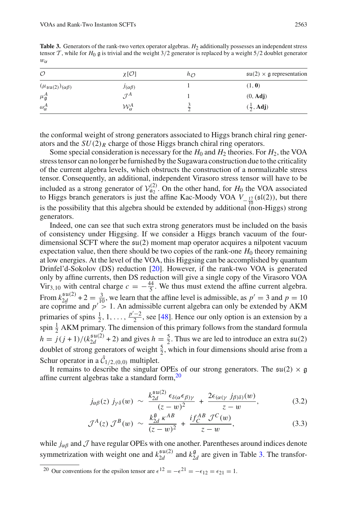<span id="page-10-0"></span>**Table 3.** Generators of the rank-two vertex operator algebras. *H*<sub>2</sub> additionally possesses an independent stress tensor  $\mathcal{T}$ , while for  $H_0$  g is trivial and the weight  $3/2$  generator is replaced by a weight  $5/2$  doublet generator  $w_{\alpha}$ 

| $\mathcal O$                               | χ[O]                   | $h_{\mathcal{O}}$ | $\mathfrak{su}(2) \times \mathfrak{g}$ representation |
|--------------------------------------------|------------------------|-------------------|-------------------------------------------------------|
| $(\mu_{\mathfrak{su}(2)})_{(\alpha\beta)}$ | $J(\alpha\beta)$       |                   | (1, 0)                                                |
| $\mu_{\mathfrak{g}}^A$                     | $\tau A$               |                   | $(0, \mathbf{Adj})$                                   |
| $\omega_{\alpha}^{A}$                      | $\mathcal{W}^A_\alpha$ |                   | $(\frac{1}{2}, \text{Adj})$                           |

the conformal weight of strong generators associated to Higgs branch chiral ring generators and the  $SU(2)_R$  charge of those Higgs branch chiral ring operators.

Some special consideration is necessary for the  $H_0$  and  $H_2$  theories. For  $H_2$ , the VOA stress tensor can no longer be furnished by the Sugawara construction due to the criticality of the current algebra levels, which obstructs the construction of a normalizable stress tensor. Consequently, an additional, independent Virasoro stress tensor will have to be included as a strong generator of  $V_{\mathfrak{a}_2}^{(2)}$ . On the other hand, for  $H_0$  the VOA associated to Higgs branch generators is just the affine Kac-Moody VOA  $V_{-\frac{17}{10}}(\mathfrak{sl}(2))$ , but there is the possibility that this algebra should be extended by additional (non-Higgs) strong generators.

Indeed, one can see that such extra strong generators must be included on the basis of consistency under Higgsing. If we consider a Higgs branch vacuum of the fourdimensional SCFT where the  $\mathfrak{su}(2)$  moment map operator acquires a nilpotent vacuum expectation value, then there should be two copies of the rank-one  $H_0$  theory remaining at low energies. At the level of the VOA, this Higgsing can be accomplished by quantum Drinfel'd-Sokolov (DS) reduction [\[20](#page-24-13)]. However, if the rank-two VOA is generated only by affine currents, then DS reduction will give a single copy of the Virasoro VOA Vir<sub>3,10</sub> with central charge  $c = -\frac{44}{5}$ . We thus must extend the affine current algebra. From  $k_{2d}^{\text{su}(2)}$  + 2 =  $\frac{3}{10}$ , we learn that the affine level is admissible, as  $p' = 3$  and  $p = 10$ are coprime and  $p' > 1$ . An admissible current algebra can only be extended by AKM primaries of spins  $\frac{1}{2}$ , 1, ...,  $\frac{p'-2}{2}$ , see [\[48\]](#page-25-23). Hence our only option is an extension by a spin  $\frac{1}{2}$  AKM primary. The dimension of this primary follows from the standard formula  $h = j(j + 1)/(k_{2d}^{\mathfrak{su}(2)} + 2)$  and gives  $h = \frac{5}{2}$ . Thus we are led to introduce an extra  $\mathfrak{su}(2)$ doublet of strong generators of weight  $\frac{5}{2}$ , which in four dimensions should arise from a Schur operator in a  $C_{1/2,(0,0)}$  multiplet.

It remains to describe the singular OPEs of our strong generators. The  $\mathfrak{su}(2) \times \mathfrak{g}$ affine current algebras take a standard form,<sup>20</sup>

<span id="page-10-2"></span>
$$
j_{\alpha\beta}(z) j_{\gamma\delta}(w) \sim \frac{k_{2d}^{\mathfrak{su}(2)} \epsilon_{\delta(\alpha} \epsilon_{\beta)\gamma}}{(z-w)^2} + \frac{2\epsilon_{(\alpha(\gamma)} j_{\beta)\delta}(w)}{z-w}, \qquad (3.2)
$$

$$
\mathcal{J}^{A}(z) \mathcal{J}^{B}(w) \sim \frac{k_{2d}^{g} \kappa^{AB}}{(z-w)^{2}} + \frac{i f_{C}^{AB} \mathcal{J}^{C}(w)}{z-w}, \qquad (3.3)
$$

while  $j_{\alpha\beta}$  and  $\mathcal J$  have regular OPEs with one another. Parentheses around indices denote symmetrization with weight one and  $k_{2d}^{\mathfrak{su}(2)}$  and  $k_{2d}^{\mathfrak{g}}$  are given in Table [3.](#page-10-0) The transfor-

<span id="page-10-1"></span><sup>20</sup> Our conventions for the epsilon tensor are  $\epsilon^{12} = -\epsilon^{21} = -\epsilon_{12} = \epsilon_{21} = 1$ .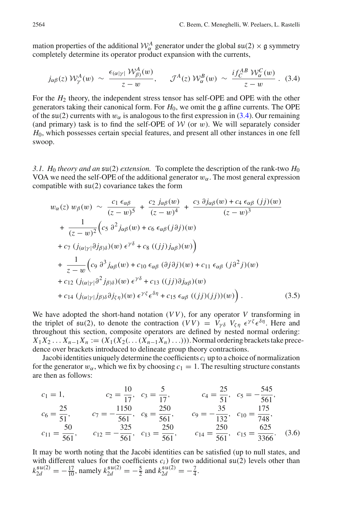mation properties of the additional  $W^A_\alpha$  generator under the global  $\mathfrak{su}(2) \times \mathfrak{g}$  symmetry completely determine its operator product expansion with the currents,

<span id="page-11-0"></span>
$$
j_{\alpha\beta}(z) \mathcal{W}^A_{\gamma}(w) \sim \frac{\epsilon_{(\alpha|\gamma|} \mathcal{W}^A_{\beta)}(w)}{z-w}, \quad \mathcal{J}^A(z) \mathcal{W}^B_{\alpha}(w) \sim \frac{if_C^{AB} \mathcal{W}^C_{\alpha}(w)}{z-w}.
$$
 (3.4)

For the *H*<sup>2</sup> theory, the independent stress tensor has self-OPE and OPE with the other generators taking their canonical form. For  $H_0$ , we omit the g affine currents. The OPE of the  $\mathfrak{su}(2)$  currents with  $w_\alpha$  is analogous to the first expression in [\(3.4\)](#page-11-0). Our remaining (and primary) task is to find the self-OPE of  $W$  (or  $w$ ). We will separately consider *H*0, which possesses certain special features, and present all other instances in one fell swoop.

*3.1. H*<sup>0</sup> *theory and an* su(2) *extension.* To complete the description of the rank-two *H*<sup>0</sup> VOA we need the self-OPE of the additional generator  $w_{\alpha}$ . The most general expression compatible with su(2) covariance takes the form

<span id="page-11-1"></span>
$$
w_{\alpha}(z) w_{\beta}(w) \sim \frac{c_1 \epsilon_{\alpha\beta}}{(z-w)^5} + \frac{c_2 j_{\alpha\beta}(w)}{(z-w)^4} + \frac{c_3 \partial j_{\alpha\beta}(w) + c_4 \epsilon_{\alpha\beta} (jj)(w)}{(z-w)^3} + \frac{1}{(z-w)^2} \Big( c_5 \partial^2 j_{\alpha\beta}(w) + c_6 \epsilon_{\alpha\beta} (j \partial j)(w) + c_7 (j_{(\alpha|\gamma|} \partial j_{\beta)\delta})(w) \epsilon^{\gamma\delta} + c_8 ((jj) j_{\alpha\beta})(w) \Big) + \frac{1}{z-w} \Big( c_9 \partial^3 j_{\alpha\beta}(w) + c_{10} \epsilon_{\alpha\beta} (\partial j \partial j)(w) + c_{11} \epsilon_{\alpha\beta} (j \partial^2 j)(w) + c_{12} (j_{(\alpha|\gamma|} \partial^2 j_{\beta)\delta})(w) \epsilon^{\gamma\delta} + c_{13} ((jj) \partial j_{\alpha\beta})(w) + c_{14} (j_{(\alpha|\gamma|} j_{\beta)\delta} \partial j_{\zeta\eta})(w) \epsilon^{\gamma\delta} \epsilon^{\delta\eta} + c_{15} \epsilon_{\alpha\beta} ((jj)(jj))(w) \Big). \tag{3.5}
$$

We have adopted the short-hand notation  $(VV)$ , for any operator  $V$  transforming in the triplet of  $\mathfrak{su}(2)$ , to denote the contraction  $(VV) = V_{\nu\delta} V_{\delta} V_{\delta} e^{\delta \eta}$ . Here and throughout this section, composite operators are defined by nested normal ordering:  $X_1X_2...X_{n-1}X_n := (X_1(X_2(...(X_{n-1}X_n)...)))$ . Normal ordering brackets take precedence over brackets introduced to delineate group theory contractions.

Jacobi identities uniquely determine the coefficients  $c_i$  up to a choice of normalization for the generator  $w_{\alpha}$ , which we fix by choosing  $c_1 = 1$ . The resulting structure constants are then as follows:

<span id="page-11-2"></span>
$$
c_1 = 1,
$$
  $c_2 = \frac{10}{17},$   $c_3 = \frac{5}{17},$   $c_4 = \frac{25}{51},$   $c_5 = -\frac{545}{561},$   
\n $c_6 = \frac{25}{51},$   $c_7 = -\frac{1150}{561},$   $c_8 = \frac{250}{561},$   $c_9 = -\frac{35}{132},$   $c_{10} = \frac{175}{748},$   
\n $c_{11} = \frac{50}{561},$   $c_{12} = -\frac{325}{561},$   $c_{13} = \frac{250}{561},$   $c_{14} = \frac{250}{561},$   $c_{15} = \frac{625}{3366}.$  (3.6)

It may be worth noting that the Jacobi identities can be satisfied (up to null states, and with different values for the coefficients  $c_i$ ) for two additional  $\mathfrak{su}(2)$  levels other than  $k_{2d}^{\mathfrak{su}(2)} = -\frac{17}{10}$ , namely  $k_{2d}^{\mathfrak{su}(2)} = -\frac{5}{2}$  and  $k_{2d}^{\mathfrak{su}(2)} = -\frac{7}{4}$ .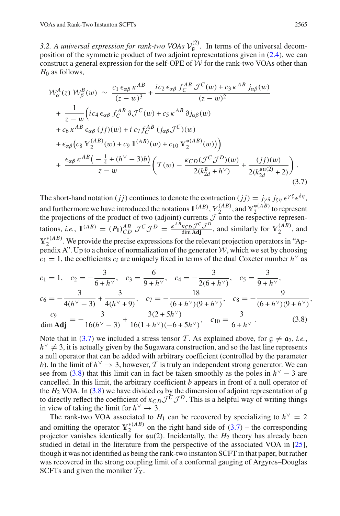3.2. A *universal expression for rank-two VOAs*  $V_g^{(2)}$ . In terms of the universal decomposition of the symmetric product of two adjoint representations given in [\(2.4\)](#page-5-7), we can construct a general expression for the self-OPE of  $W$  for the rank-two VOAs other than  $H_0$  as follows,

$$
\mathcal{W}_{\alpha}^{A}(z) \mathcal{W}_{\beta}^{B}(w) \sim \frac{c_{1} \epsilon_{\alpha\beta} \kappa^{AB}}{(z-w)^{3}} + \frac{ic_{2} \epsilon_{\alpha\beta} f_{C}^{AB} \mathcal{J}^{C}(w) + c_{3} \kappa^{AB} j_{\alpha\beta}(w)}{(z-w)^{2}} \n+ \frac{1}{z-w} \left( ic_{4} \epsilon_{\alpha\beta} f_{C}^{AB} \partial \mathcal{J}^{C}(w) + c_{5} \kappa^{AB} \partial j_{\alpha\beta}(w) \right. \n+ c_{6} \kappa^{AB} \epsilon_{\alpha\beta} (jj)(w) + i c_{7} f_{C}^{AB} (j_{\alpha\beta} \mathcal{J}^{C})(w) \n+ \epsilon_{\alpha\beta} (c_{8} \mathbb{Y}_{2}^{(AB)}(w) + c_{9} \mathbb{1}^{(AB)}(w) + c_{10} \mathbb{Y}_{2}^{*(AB)}(w)) \right) \n+ \frac{\epsilon_{\alpha\beta} \kappa^{AB} \left( -\frac{1}{4} + (h^{\vee} - 3)b \right)}{z-w} \left( \mathcal{T}(w) - \frac{\kappa_{CD} (\mathcal{J}^{C} \mathcal{J}^{D})(w)}{2(k_{2d}^{8} + h^{\vee})} + \frac{(jj)(w)}{2(k_{2d}^{5u(2)} + 2)} \right). \tag{3.7}
$$

<span id="page-12-0"></span>The short-hand notation (*jj*) continues to denote the contraction (*jj*) =  $j_{\gamma\delta} j_{\zeta\eta} \epsilon^{\gamma\zeta} \epsilon^{\delta\eta}$ , and furthermore we have introduced the notations  $1^{(AB)}$ ,  $\mathbb{Y}_2^{(AB)}$ , and  $\mathbb{Y}_2^{*(AB)}$  to represent the projections of the product of two (adjoint) currents  $J$  onto the respective representations, *i.e.*,  $\mathbb{1}^{(AB)} = (P_1)_{CD}^{AB} \mathcal{J}^C \mathcal{J}^D = \frac{\kappa^{AB} \kappa_{CD} \mathcal{J}^C \mathcal{J}^D}{\text{dim } \mathbf{Adj}}$ , and similarly for  $\mathbb{Y}_2^{(AB)}$ , and  $Y_2^{*(AB)}$ . We provide the precise expressions for the relevant projection operators in "Appendix A". Up to a choice of normalization of the generator  $W$ , which we set by choosing  $c_1 = 1$ , the coefficients  $c_i$  are uniquely fixed in terms of the dual Coxeter number  $h^{\vee}$  as

$$
c_1 = 1, \quad c_2 = -\frac{3}{6 + h^{\vee}}, \quad c_3 = \frac{6}{9 + h^{\vee}}, \quad c_4 = -\frac{3}{2(6 + h^{\vee})}, \quad c_5 = \frac{3}{9 + h^{\vee}},
$$

$$
c_6 = -\frac{3}{4(h^{\vee} - 3)} + \frac{3}{4(h^{\vee} + 9)}, \quad c_7 = -\frac{18}{(6 + h^{\vee})(9 + h^{\vee})}, \quad c_8 = -\frac{9}{(6 + h^{\vee})(9 + h^{\vee})},
$$

$$
\frac{c_9}{\dim \mathbf{Adj}} = -\frac{3}{16(h^{\vee} - 3)} + \frac{3(2 + 5h^{\vee})}{16(1 + h^{\vee})(-6 + 5h^{\vee})}, \quad c_{10} = \frac{3}{6 + h^{\vee}}.
$$
(3.8)

<span id="page-12-1"></span>Note that in [\(3.7\)](#page-12-0) we included a stress tensor *T*. As explained above, for  $g \neq a_2$ , *i.e.*,  $h^{\vee} \neq 3$ , it is actually given by the Sugawara construction, and so the last line represents a null operator that can be added with arbitrary coefficient (controlled by the parameter *b*). In the limit of  $h^{\vee} \rightarrow 3$ , however, *T* is truly an independent strong generator. We can see from [\(3.8\)](#page-12-1) that this limit can in fact be taken smoothly as the poles in  $h<sup>0</sup> - 3$  are cancelled. In this limit, the arbitrary coefficient *b* appears in front of a null operator of the  $H_2$  VOA. In [\(3.8\)](#page-12-1) we have divided  $c_9$  by the dimension of adjoint representation of  $\mathfrak g$ to directly reflect the coefficient of  $\kappa_{CD} \mathcal{J}^C \mathcal{J}^D$ . This is a helpful way of writing things in view of taking the limit for  $h^{\vee} \rightarrow 3$ .

The rank-two VOA associated to  $H_1$  can be recovered by specializing to  $h^{\vee} = 2$ and omitting the operator  $\mathbb{Y}_2^{*(AB)}$  on the right hand side of [\(3.7\)](#page-12-0) – the corresponding projector vanishes identically for  $\mathfrak{su}(2)$ . Incidentally, the  $H_2$  theory has already been studied in detail in the literature from the perspective of the associated VOA in [\[25](#page-25-3)], though it was not identified as being the rank-two instanton SCFT in that paper, but rather was recovered in the strong coupling limit of a conformal gauging of Argyres–Douglas SCFTs and given the moniker  $T_X$ .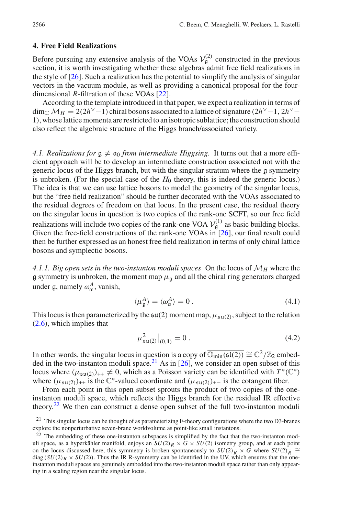#### <span id="page-13-0"></span>**4. Free Field Realizations**

Before pursuing any extensive analysis of the VOAs  $V_g^{(2)}$  constructed in the previous section, it is worth investigating whether these algebras admit free field realizations in the style of [\[26\]](#page-25-4). Such a realization has the potential to simplify the analysis of singular vectors in the vacuum module, as well as providing a canonical proposal for the fourdimensional *R*-filtration of these VOAs [\[22](#page-25-0)].

According to the template introduced in that paper, we expect a realization in terms of dim<sub>C</sub>  $M_H = 2(2h^{\vee} - 1)$  chiral bosons associated to a lattice of signature (2*h*<sup>∨</sup> − 1, 2*h*<sup>∨</sup> − 1), whose lattice momenta are restricted to an isotropic sublattice; the construction should also reflect the algebraic structure of the Higgs branch/associated variety.

*4.1. Realizations for*  $g \neq a_0$  *from intermediate Higgsing.* It turns out that a more efficient approach will be to develop an intermediate construction associated not with the generic locus of the Higgs branch, but with the singular stratum where the g symmetry is unbroken. (For the special case of the  $H_0$  theory, this is indeed the generic locus.) The idea is that we can use lattice bosons to model the geometry of the singular locus, but the "free field realization" should be further decorated with the VOAs associated to the residual degrees of freedom on that locus. In the present case, the residual theory on the singular locus in question is two copies of the rank-one SCFT, so our free field realizations will include two copies of the rank-one VOA  $V_g^{(1)}$  as basic building blocks. Given the free-field constructions of the rank-one VOAs in [\[26](#page-25-4)], our final result could then be further expressed as an honest free field realization in terms of only chiral lattice bosons and symplectic bosons.

4.1.1. Big open sets in the two-instanton moduli spaces On the locus of  $\mathcal{M}_H$  where the g symmetry is unbroken, the moment map  $\mu_a$  and all the chiral ring generators charged under g, namely  $\omega_{\alpha}^A$ , vanish,

$$
\langle \mu_{\mathfrak{g}}^A \rangle = \langle \omega_{\alpha}^A \rangle = 0. \tag{4.1}
$$

This locus is then parameterized by the  $\mathfrak{su}(2)$  moment map,  $\mu_{\mathfrak{su}(2)}$ , subject to the relation [\(2.6\)](#page-5-5), which implies that

$$
\mu_{\mathfrak{su}(2)}^2\big|_{(0,1)} = 0\,. \tag{4.2}
$$

In other words, the singular locus in question is a copy of  $\overline{\mathbb{O}_{\text{min}}(\mathfrak{sl}(2))} \cong \mathbb{C}^2/\mathbb{Z}_2$  embed-ded in the two-instanton moduli space.<sup>[21](#page-13-1)</sup> As in  $[26]$  $[26]$ , we consider an open subset of this locus where  $(\mu_{\text{su}(2)})_{++} \neq 0$ , which as a Poisson variety can be identified with  $T^*(\mathbb{C}^*)$ where  $(\mu_{\mathfrak{su}(2)})_{++}$  is the C<sup>\*</sup>-valued coordinate and  $(\mu_{\mathfrak{su}(2)})_{+-}$  is the cotangent fiber.

From each point in this open subset sprouts the product of two copies of the oneinstanton moduli space, which reflects the Higgs branch for the residual IR effective theory[.22](#page-13-2) We then can construct a dense open subset of the full two-instanton moduli

<sup>&</sup>lt;sup>21</sup> This singular locus can be thought of as parameterizing F-theory configurations where the two D3-branes explore the nonperturbative seven-brane worldvolume as point-like small instantons.

<span id="page-13-2"></span><span id="page-13-1"></span><sup>&</sup>lt;sup>22</sup> The embedding of these one-instanton subspaces is simplified by the fact that the two-instanton moduli space, as a hyperkähler manifold, enjoys an  $SU(2)_R \times G \times SU(2)$  isometry group, and at each point on the locus discussed here, this symmetry is broken spontaneously to  $SU(2)_{\bar{R}} \times G$  where  $SU(2)_{\bar{R}} \cong$ diag  $(SU(2)_R \times SU(2))$ . Thus the IR R-symmetry can be identified in the UV, which ensures that the oneinstanton moduli spaces are genuinely embedded into the two-instanton moduli space rather than only appearing in a scaling region near the singular locus.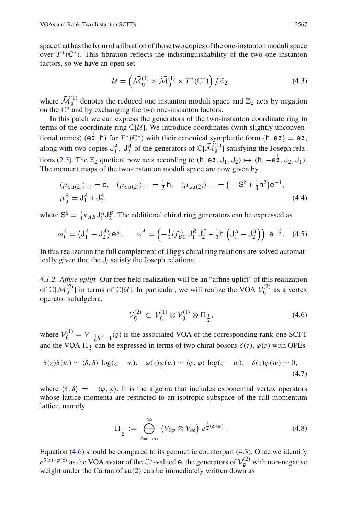space that has the form of a fibration of those two copies of the one-instanton moduli space space that has the form of a fibration of those two copies of the one-instanton moduli space<br>over  $T^*(\mathbb{C}^*)$ . This fibration reflects the indistinguishability of the two one-instanton<br>factors, so we have an open set<br> $\$ factors, so we have an open set

<span id="page-14-1"></span>
$$
\mathcal{U} = \left(\widetilde{\mathcal{M}}_{\mathfrak{g}}^{(1)} \times \widetilde{\mathcal{M}}_{\mathfrak{g}}^{(1)} \times T^*(\mathbb{C}^*)\right) / \mathbb{Z}_2, \tag{4.3}
$$

where  $\widetilde{\mathcal{M}}$  $g^{(1)}$  denotes the reduced one instanton moduli space and  $\mathbb{Z}_2$  acts by negation on the  $\mathbb{C}^*$  and by exchanging the two one-instanton factors.

In this patch we can express the generators of the two-instanton coordinate ring in terms of the coordinate ring  $\mathbb{C}[U]$ . We introduce coordinates (with slightly unconventional names)  $(e^{\frac{1}{2}}, h)$  for  $T^*(\mathbb{C}^*)$  with their canonical symplectic form  $\{h, e^{\frac{1}{2}}\} = e^{\frac{1}{2}}$ , In this patch we can express the generators of the two terms of the coordinate ring  $\mathbb{C}[U]$ . We introduce coordinational names) ( $e^{\frac{1}{2}}$ , h) for  $T^*(\mathbb{C}^*)$  with their canonical sy along with two copies  $J_1^A$ ,  $\binom{1}{9}$  satisfying the Joseph rela-tions [\(2.5\)](#page-5-8). The  $\mathbb{Z}_2$  quotient now acts according to  $(h, e^{\frac{1}{2}}, J_1, J_2) \mapsto (h, -e^{\frac{1}{2}}, J_2, J_1)$ . The moment maps of the two-instanton moduli space are now given by merators of  $\mathbb{C}[\mathcal{M}_{\mathfrak{g}}^{\mathfrak{U}}]$  satisfying the<br>
coording to  $(\mathsf{h}, \mathsf{e}_2^{\frac{1}{2}}, \mathsf{J}_1, \mathsf{J}_2) \mapsto (\mathsf{h}, -\text{moduli space are now given by}$ <br>  $\frac{1}{2}\mathsf{h}, \quad (\mu_{\mathfrak{su}(2)})_{--} = (-\mathsf{S}^{\natural} + \frac{1}{4}\mathsf{h}^2)$ 

<span id="page-14-2"></span>
$$
(\mu_{\mathfrak{su}(2)})_{++} = \mathbf{e}, \quad (\mu_{\mathfrak{su}(2)})_{+-} = \frac{1}{2} \mathsf{h}, \quad (\mu_{\mathfrak{su}(2)})_{--} = (-\mathsf{S}^{\natural} + \frac{1}{4} \mathsf{h}^2) \mathsf{e}^{-1},
$$
  

$$
\mu_{\mathfrak{g}}^A = \mathsf{J}_1^A + \mathsf{J}_2^A, \tag{4.4}
$$

where  $S^{\natural} = \frac{1}{4} \kappa_{AB} J_1^A J_2^B$ . The additional chiral ring generators can be expressed as

$$
\mu_{\mathfrak{g}}^A = J_1^A + J_2^A,
$$
\n
$$
\mathfrak{g}^{\natural} = \frac{1}{4} \kappa_{AB} J_1^A J_2^B.
$$
\nThe additional chiral ring generators can be expressed as\n
$$
\omega_+^A = \left( J_1^A - J_2^A \right) \mathbf{e}^{\frac{1}{2}}, \qquad \omega_-^A = \left( -\frac{1}{2} i f_{BC}^A J_1^B J_2^C + \frac{1}{2} h \left( J_1^A - J_2^A \right) \right) \mathbf{e}^{-\frac{1}{2}}.
$$
\n(4.5)

<span id="page-14-3"></span>In this realization the full complement of Higgs chiral ring relations are solved automatically given that the  $J_i$  satisfy the Joseph relations.

*4.1.2. Affine uplift* Our free field realization will be an "affine uplift" of this realization of  $\mathbb{C}[\mathcal{M}_{\mathfrak{g}}^{(2)}]$  in terms of  $\mathbb{C}[\mathcal{U}]$ . In particular, we will realize the VOA  $\mathcal{V}_{\mathfrak{g}}^{(2)}$  as a vertex operator subalgebra,

<span id="page-14-0"></span>
$$
\mathcal{V}_{\mathfrak{g}}^{(2)} \subset \mathcal{V}_{\mathfrak{g}}^{(1)} \otimes \mathcal{V}_{\mathfrak{g}}^{(1)} \otimes \Pi_{\frac{1}{2}},\tag{4.6}
$$

where  $V_{\mathfrak{g}}^{(1)} = V_{-\frac{1}{6}h^{\vee}-1}(\mathfrak{g})$  is the associated VOA of the corresponding rank-one SCFT and the VOA  $\Pi_{\frac{1}{2}}$  can be expressed in terms of two chiral bosons  $\delta(z)$ ,  $\varphi(z)$  with OPEs

$$
\delta(z)\delta(w) \sim \langle \delta, \delta \rangle \log(z - w), \quad \varphi(z)\varphi(w) \sim \langle \varphi, \varphi \rangle \log(z - w), \quad \delta(z)\varphi(w) \sim 0,
$$
\n(4.7)

where  $\langle \delta, \delta \rangle = -\langle \varphi, \varphi \rangle$ . It is the algebra that includes exponential vertex operators where  $\langle \delta, \delta \rangle = -\langle \phi, \phi \rangle$ . It is the algebra that includes exponential vertex operators<br>whose lattice momenta are restricted to an isotropic subspace of the full momentum<br>lattice, namely<br> $\Pi_{\frac{1}{2}} := \bigoplus_{\phi}^{\infty} (V_{\partial \$ lattice, namely

$$
\Pi_{\frac{1}{2}} := \bigoplus_{\ell=-\infty}^{\infty} \left( V_{\partial \varphi} \otimes V_{\partial \delta} \right) e^{\frac{\ell}{2}(\delta + \varphi)}.
$$
\n(4.8)

Equation  $(4.6)$  should be compared to its geometric counterpart  $(4.3)$ . Once we identify  $e^{\delta(z)+\varphi(z)}$  as the VOA avatar of the  $\mathbb{C}^*$ -valued **e**, the generators of  $\mathcal{V}_{\mathfrak{g}}^{(2)}$  with non-negative weight under the Cartan of  $\mathfrak{su}(2)$  can be immediately written down as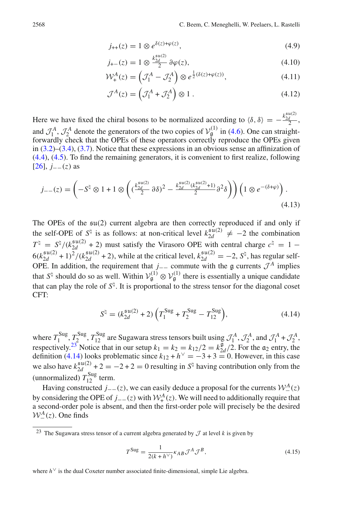<span id="page-15-3"></span><span id="page-15-2"></span>
$$
j_{++}(z) = 1 \otimes e^{\delta(z) + \varphi(z)}, \tag{4.9}
$$

$$
j_{+-}(z) = 1 \otimes \frac{k_{2d}^{\mathfrak{su}(2)}}{2} \partial \varphi(z), \tag{4.10}
$$

$$
\mathcal{W}^A_+(z) = \left(\mathcal{J}^A_1 - \mathcal{J}^A_2\right) \otimes e^{\frac{1}{2}(\delta(z) + \varphi(z))},\tag{4.11}
$$

$$
\mathcal{J}^{A}(z) = \left(\mathcal{J}_{1}^{A} + \mathcal{J}_{2}^{A}\right) \otimes 1. \tag{4.12}
$$

Here we have fixed the chiral bosons to be normalized according to  $\langle \delta, \delta \rangle = -\frac{k_{2d}^{su(2)}}{2}$ , and  $\mathcal{J}_1^A$ ,  $\mathcal{J}_2^A$  denote the generators of the two copies of  $\mathcal{V}_g^{(1)}$  in [\(4.6\)](#page-14-0). One can straightforwardly check that the OPEs of these operators correctly reproduce the OPEs given in  $(3.2)$ – $(3.4)$ ,  $(3.7)$ . Notice that these expressions in an obvious sense an affinization of [\(4.4\)](#page-14-2), [\(4.5\)](#page-14-3). To find the remaining generators, it is convenient to first realize, following  $[26]$  $[26]$ ,  $j = (z)$  as e an ammizadire and anti-<br>1 ⊗  $e^{-(\delta+\varphi)}$ 

<span id="page-15-4"></span>
$$
j_{--}(z) = \left(-S^{\natural} \otimes 1 + 1 \otimes \left( \left(\frac{k_{2d}^{\mathfrak{su}(2)}}{2} \partial \delta\right)^2 - \frac{k_{2d}^{\mathfrak{su}(2)}(k_{2d}^{\mathfrak{su}(2)} + 1)}{2} \partial^2 \delta \right)\right) \left(1 \otimes e^{-(\delta + \varphi)}\right). \tag{4.13}
$$

The OPEs of the su(2) current algebra are then correctly reproduced if and only if the self-OPE of  $S^{\natural}$  is as follows: at non-critical level  $k_{2d}^{\mathfrak{su}(2)} \neq -2$  the combination  $T^{\natural} = S^{\natural}/(k_{2d}^{\mathfrak{su}(2)} + 2)$  must satisfy the Virasoro OPE with central charge  $c^{\natural} = 1 - 1$  $6(k_{2d}^{\mathfrak{su}(2)}+1)^2/(k_{2d}^{\mathfrak{su}(2)}+2)$ , while at the critical level,  $k_{2d}^{\mathfrak{su}(2)}=-2$ ,  $S^{\natural}$ , has regular self-OPE. In addition, the requirement that *j*<sub>−−</sub> commute with the g currents  $\mathcal{J}^A$  implies that *S*<sup>t<sub>1</sub></sup> should do so as well. Within  $V_g^{(1)} \otimes V_g^{(1)}$  there is essentially a unique candidate<br>that can play the role of *S*<sup>t<sub>1</sub></sup>. It is proportional to the stress tensor for the diagonal coset<br>CFT:<br> $S^{\sharp} = (k_{2d}^{$ that can play the role of  $S^{\natural}$ . It is proportional to the stress tensor for the diagonal coset CFT:

<span id="page-15-1"></span>
$$
S^{\natural} = (k_{2d}^{\text{su}(2)} + 2) \left( T_1^{\text{Sug}} + T_2^{\text{Sug}} - T_{12}^{\text{Sug}} \right), \tag{4.14}
$$

where  $T_1^{\text{Sug}}, T_2^{\text{Sug}}, T_{12}^{\text{Sug}}$  are Sugawara stress tensors built using  $\mathcal{J}_1^A$ ,  $\mathcal{J}_2^A$ , and  $\mathcal{J}_1^A + \mathcal{J}_2^A$ , respectively.<sup>[23](#page-15-0)</sup> Notice that in our setup  $k_1 = k_2 = k_{12}/2 = k_{2d}^9/2$ . For the  $\mathfrak{a}_2$  entry, the definition [\(4.14\)](#page-15-1) looks problematic since  $k_{12} + h<sup>0</sup> = -3 + 3 = 0$ . However, in this case we also have  $k_{2d}^{\mathfrak{su}(2)}$  + 2 = -2 + 2 = 0 resulting in  $S^{\natural}$  having contribution only from the (unnormalized)  $T_{12}^{\text{Sug}}$  term.

Having constructed *j*−−(*z*), we can easily deduce a proposal for the currents  $W^A_-(z)$ by considering the OPE of *j*<sub>−−</sub>(*z*) with  $W^A_+(z)$ . We will need to additionally require that a second-order pole is absent, and then the first-order pole will precisely be the desired  $W^A_-(z)$ . One finds

$$
T^{\text{Sug}} = \frac{1}{2(k + h^{\vee})} \kappa_{AB} \mathcal{J}^A \mathcal{J}^B,
$$
\n(4.15)

<span id="page-15-0"></span><sup>&</sup>lt;sup>23</sup> The Sugawara stress tensor of a current algebra generated by  $\mathcal J$  at level k is given by

where  $h^{\vee}$  is the dual Coxeter number associated finite-dimensional, simple Lie algebra.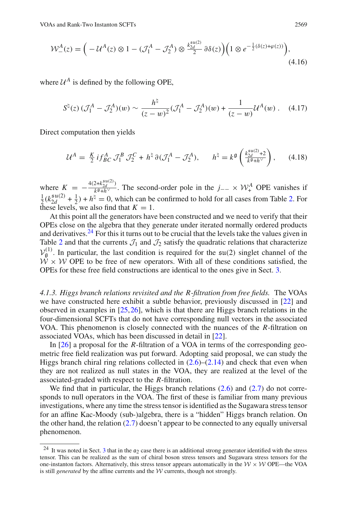As and Rank-Two Instanton SCFTs  
\n
$$
\mathcal{W}^{A}_{-}(z) = \Big( -U^{A}(z) \otimes 1 - (\mathcal{J}^{A}_{1} - \mathcal{J}^{A}_{2}) \otimes \frac{k_{2d}^{\text{su}(2)}}{2} \partial \delta(z) \Big) \Big( 1 \otimes e^{-\frac{1}{2}(\delta(z) + \varphi(z))} \Big), \tag{4.16}
$$

where  $U^A$  is defined by the following OPE,

$$
S^{\natural}(z) \, (\mathcal{J}_1^A - \mathcal{J}_2^A)(w) \sim \frac{h^{\natural}}{(z-w)^2} (\mathcal{J}_1^A - \mathcal{J}_2^A)(w) + \frac{1}{(z-w)} \mathcal{U}^A(w) \,. \tag{4.17}
$$

Direct computation then yields

$$
\mathcal{U}^A = \frac{K}{2} i f_{BC}^A \mathcal{J}_1^B \mathcal{J}_2^C + h^\natural \partial (\mathcal{J}_1^A - \mathcal{J}_2^A), \qquad h^\natural = k^\mathfrak{g} \left( \frac{k_{2d}^{\mathfrak{su}(2)} + 2}{k^\mathfrak{g} + h^\vee} \right), \tag{4.18}
$$

where  $K = -\frac{4(2+k_{2d}^{3u/2})}{k^{9}+h^{\vee}}$ . The second-order pole in the *j*−− ×  $\mathcal{W}_{+}^{A}$  OPE vanishes if  $\frac{1}{2}$ ( $k_{2d}^{\text{su}(2)}$  +  $\frac{1}{2}$ ) +  $h^{\natural}$  = 0, which can be confirmed to hold for all cases from Table [2.](#page-7-0) For these levels, we also find that  $K = 1$ .

At this point all the generators have been constructed and we need to verify that their OPEs close on the algebra that they generate under iterated normally ordered products and derivatives.<sup>[24](#page-16-0)</sup> For this it turns out to be crucial that the levels take the values given in Table [2](#page-7-0) and that the currents  $J_1$  and  $J_2$  satisfy the quadratic relations that characterize  $V_{\rm g}^{(1)}$ . In particular, the last condition is required for the su(2) singlet channel of the  $W \times W$  OPE to be free of new operators. With all of these conditions satisfied, the OPEs for these free field constructions are identical to the ones give in Sect. [3.](#page-9-0)

*4.1.3. Higgs branch relations revisited and the R-filtration from free fields.* The VOAs we have constructed here exhibit a subtle behavior, previously discussed in [\[22](#page-25-0)] and observed in examples in [\[25,](#page-25-3)[26\]](#page-25-4), which is that there are Higgs branch relations in the four-dimensional SCFTs that do not have corresponding null vectors in the associated VOA. This phenomenon is closely connected with the nuances of the *R*-filtration on associated VOAs, which has been discussed in detail in [\[22\]](#page-25-0).

In [\[26\]](#page-25-4) a proposal for the *R*-filtration of a VOA in terms of the corresponding geometric free field realization was put forward. Adopting said proposal, we can study the Higgs branch chiral ring relations collected in  $(2.6)$ – $(2.14)$  and check that even when they are not realized as null states in the VOA, they are realized at the level of the associated-graded with respect to the *R*-filtration.

We find that in particular, the Higgs branch relations  $(2.6)$  and  $(2.7)$  do not corresponds to null operators in the VOA. The first of these is familiar from many previous investigations, where any time the stress tensor is identified as the Sugawara stress tensor for an affine Kac-Moody (sub-)algebra, there is a "hidden" Higgs branch relation. On the other hand, the relation [\(2.7\)](#page-5-10) doesn't appear to be connected to any equally universal phenomenon.

<span id="page-16-0"></span><sup>&</sup>lt;sup>24</sup> It was noted in Sect. [3](#page-9-0) that in the  $\alpha_2$  case there is an additional strong generator identified with the stress tensor. This can be realized as the sum of chiral boson stress tensors and Sugawara stress tensors for the one-instanton factors. Alternatively, this stress tensor appears automatically in the  $W \times W$  OPE—the VOA is still *generated* by the affine currents and the *W* currents, though not strongly.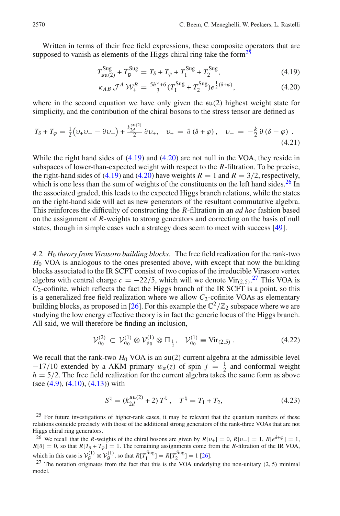Written in terms of their free field expressions, these composite operators that are supposed to vanish as elements of the Higgs chiral ring take the form<sup>[25](#page-17-0)</sup>

<span id="page-17-1"></span>
$$
T_{\text{su}(2)}^{\text{Sug}} + T_{\text{g}}^{\text{Sug}} = T_{\delta} + T_{\varphi} + T_{1}^{\text{Sug}} + T_{2}^{\text{Sug}}, \tag{4.19}
$$

$$
\kappa_{AB} \mathcal{J}^A \mathcal{W}_+^B = \frac{5h^\vee + 6}{3} (T_1^{\text{Sug}} + T_2^{\text{Sug}}) e^{\frac{1}{2}(\delta + \varphi)},\tag{4.20}
$$

where in the second equation we have only given the su(2) highest weight state for simplicity, and the contribution of the chiral bosons to the stress tensor are defined as and the state of

$$
T_{\delta} + T_{\varphi} = \frac{1}{2} \big( \nu_{+} \nu_{-} - \partial \nu_{-} \big) + \frac{k_{2d}^{\text{su}(2)}}{2} \partial \nu_{+}, \quad \nu_{+} = \partial \left( \delta + \varphi \right), \quad \nu_{-} = -\frac{k}{2} \partial \left( \delta - \varphi \right). \tag{4.21}
$$

While the right hand sides of  $(4.19)$  and  $(4.20)$  are not null in the VOA, they reside in subspaces of lower-than-expected weight with respect to the *R*-filtration. To be precise, the right-hand sides of [\(4.19\)](#page-17-1) and [\(4.20\)](#page-17-1) have weights  $R = 1$  and  $R = 3/2$ , respectively, which is one less than the sum of weights of the constituents on the left hand sides.<sup>[26](#page-17-2)</sup> In the associated graded, this leads to the expected Higgs branch relations, while the states on the right-hand side will act as new generators of the resultant commutative algebra. This reinforces the difficulty of constructing the *R*-filtration in an *ad hoc* fashion based on the assignment of *R*-weights to strong generators and correcting on the basis of null states, though in simple cases such a strategy does seem to meet with success [\[49](#page-25-24)].

*4.2. H*<sup>0</sup> *theory from Virasoro building blocks.* The free field realization for the rank-two *H*<sup>0</sup> VOA is analogous to the ones presented above, with except that now the building blocks associated to the IR SCFT consist of two copies of the irreducible Virasoro vertex algebra with central charge  $c = -22/5$ , which will we denote Vir $_{(2,5)}$ .<sup>[27](#page-17-3)</sup> This VOA is  $C_2$ -cofinite, which reflects the fact the Higgs branch of the IR SCFT is a point, so this is a generalized free field realization where we allow  $C_2$ -cofinite VOAs as elementary building blocks, as proposed in [\[26](#page-25-4)]. For this example the  $\mathbb{C}^2/\mathbb{Z}_2$  subspace where we are studying the low energy effective theory is in fact the generic locus of the Higgs branch. All said, we will therefore be finding an inclusion,

<span id="page-17-4"></span>
$$
\mathcal{V}_{\mathfrak{a}_0}^{(2)} \subset \mathcal{V}_{\mathfrak{a}_0}^{(1)} \otimes \mathcal{V}_{\mathfrak{a}_0}^{(1)} \otimes \Pi_{\frac{1}{2}}, \quad \mathcal{V}_{\mathfrak{a}_0}^{(1)} \equiv \text{Vir}_{(2,5)} \ . \tag{4.22}
$$

We recall that the rank-two  $H_0$  VOA is an  $\mathfrak{su}(2)$  current algebra at the admissible level  $-17/10$  extended by a AKM primary  $w_\alpha(z)$  of spin  $j = \frac{1}{2}$  and conformal weight  $h = 5/2$ . The free field realization for the current algebra takes the same form as above (see  $(4.9)$ ,  $(4.10)$ ,  $(4.13)$ ) with

$$
S^{\natural} = (k_{2d}^{\mathfrak{su}(2)} + 2) T^{\natural}, \quad T^{\natural} = T_1 + T_2, \tag{4.23}
$$

<span id="page-17-0"></span><sup>&</sup>lt;sup>25</sup> For future investigations of higher-rank cases, it may be relevant that the quantum numbers of these relations coincide precisely with those of the additional strong generators of the rank-three VOAs that are not Higgs chiral ring generators.

<span id="page-17-2"></span><sup>&</sup>lt;sup>26</sup> We recall that the *R*-weights of the chiral bosons are given by  $R[\nu_+] = 0$ ,  $R[\nu_-] = 1$ ,  $R[e^{\delta+\varphi}] = 1$ ,  $R[\partial] = 0$ , so that  $R[T_{\delta} + T_{\varphi}] = 1$ . The remaining assignments come from the *R*-filtration of the IR VOA, which in this case is  $V_g^{(1)} \otimes V_g^{(1)}$ , so that  $R[T_1^{\text{Sug}}] = R[T_2^{\text{Sug}}] = 1$  [\[26](#page-25-4)].

<span id="page-17-3"></span> $27$  The notation originates from the fact that this is the VOA underlying the non-unitary (2, 5) minimal model.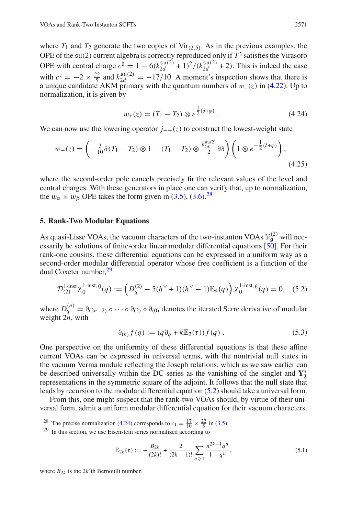where  $T_1$  and  $T_2$  generate the two copies of Vir<sub>(2,5)</sub>. As in the previous examples, the OPE of the  $\mathfrak{su}(2)$  current algebra is correctly reproduced only if  $T^{\dagger}$  satisfies the Virasoro OPE with central charge  $c^{\dagger} = 1 - 6(k_{2d}^{\mathfrak{su}(2)} + 1)^2 / (k_{2d}^{\mathfrak{su}(2)} + 2)$ . This is indeed the case with  $c^{\dagger} = -2 \times \frac{22}{5}$  and  $k_{2d}^{\mathfrak{su}(2)} = -17/10$ . A moment's inspection shows that there is a unique candidate AKM primary with the quantum numbers of  $w_{+}(z)$  in [\(4.22\)](#page-17-4). Up to normalization, it is given by

<span id="page-18-4"></span>
$$
w_{+}(z) = (T_1 - T_2) \otimes e^{\frac{1}{2}(\delta + \varphi)}.
$$
 (4.24)  
ng operator  $j_{--}(z)$  to construct the lowest-weight state

We can now use the lowering operator *j*−−(*z*) to construct the lowest-weight state

$$
w_{+}(z) = (T_1 - T_2) \otimes e^{\frac{1}{2}(\delta + \varphi)}.
$$
 (4.24)  
an now use the lowering operator  $j_{--}(z)$  to construct the lowest-weight state  

$$
w_{-}(z) = \left(-\frac{3}{10}\partial(T_1 - T_2) \otimes 1 - (T_1 - T_2) \otimes \frac{k_{2d}^{\mathfrak{su}(2)}}{2}\partial \delta\right) \left(1 \otimes e^{-\frac{1}{2}(\delta + \varphi)}\right),
$$
(4.25)

where the second-order pole cancels precisely fir the relevant values of the level and central charges. With these generators in place one can verify that, up to normalization, the  $w_{\alpha} \times w_{\beta}$  OPE takes the form given in [\(3.5\)](#page-11-1), [\(3.6\)](#page-11-2).<sup>[28](#page-18-1)</sup>

#### <span id="page-18-0"></span>**5. Rank-Two Modular Equations**

As quasi-Lisse VOAs, the vacuum characters of the two-instanton VOAs  $V_g^{(2)}$  will necessarily be solutions of finite-order linear modular differential equations [\[50\]](#page-25-25). For their rank-one cousins, these differential equations can be expressed in a uniform way as a second-order modular differential operator whose free coefficient is a function of the dual Coxeter number, <sup>29</sup>  $\sin s$ , these differentially of the set of the modular differential  $\lim_{h \to 0} \frac{q^2}{g}$  := (

<span id="page-18-3"></span>
$$
\mathcal{D}_{(2)}^{1\text{-inst}} \chi_0^{1\text{-inst},\mathfrak{g}}(q) := \left( D_q^{(2)} - 5(h^\vee + 1)(h^\vee - 1)\mathbb{E}_4(q) \right) \chi_0^{1\text{-inst},\mathfrak{g}}(q) = 0, \quad (5.2)
$$

where  $D_q^{(n)} = \partial_{(2n-2)} \circ \cdots \circ \partial_{(2)} \circ \partial_{(0)}$  denotes the iterated Serre derivative of modular weight 2*n*, with

$$
\partial_{(k)} f(q) := (q \partial_q + k \mathbb{E}_2(\tau)) f(q) . \tag{5.3}
$$

One perspective on the uniformity of these differential equations is that these affine current VOAs can be expressed in universal terms, with the nontrivial null states in the vacuum Verma module reflecting the Joseph relations, which as we saw earlier can be described universally within the DC series as the vanishing of the singlet and **Y**∗ **2** representations in the symmetric square of the adjoint. It follows that the null state that leads by recursion to the modular differential equation [\(5.2\)](#page-18-3) should take a universal form.

From this, one might suspect that the rank-two VOAs should, by virtue of their universal form, admit a uniform modular differential equation for their vacuum characters.

<sup>28</sup> The precise normalization [\(4.24\)](#page-18-4) corresponds to  $c_1 = \frac{17}{10} \times \frac{22}{5}$  in [\(3.5\)](#page-11-1).

$$
\mathbb{E}_{2k}(\tau) := -\frac{B_{2k}}{(2k)!} + \frac{2}{(2k-1)!} \sum_{n \geq 1} \frac{n^{2k-1} q^n}{1 - q^n},
$$
\n(5.1)

where  $B_{2k}$  is the  $2k$ 'th Bernoulli number.

<span id="page-18-2"></span><span id="page-18-1"></span><sup>29</sup> In this section, we use Eisenstein series normalized according to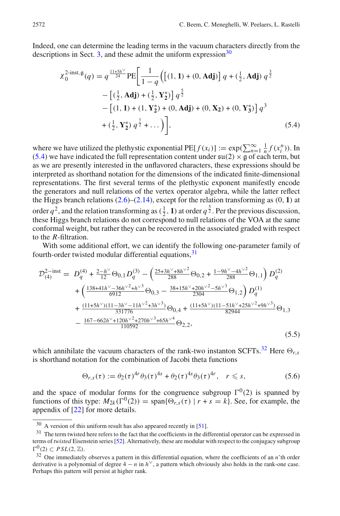Indeed, one can determine the leading terms in the vacuum characters directly from the descriptions in Sect. [3,](#page-9-0) and these admit the uniform expression<sup>30</sup> the leading terms in the vacuum changed these admit the uniform expression<br>  $\frac{15h^{\vee}}{24}$  PE  $\left[\frac{1}{1-\epsilon}\left(\left[(1, 1) + (0, \text{Adj})\right]\right)\right]$ 

<span id="page-19-1"></span>
$$
\chi_0^{2\text{-inst},\mathfrak{g}}(q) = q^{\frac{11+5h^{\vee}}{24}} \text{PE}\bigg[\frac{1}{1-q}\Big(\big[(1,1)+(0,\mathbf{Adj})\big]q + (\frac{1}{2},\mathbf{Adj})q^{\frac{3}{2}} - \big[\big(\frac{1}{2},\mathbf{Adj}\big) + (\frac{1}{2},\mathbf{Y}_2^*)\big]q^{\frac{5}{2}} - \big[(1,1)+(1,\mathbf{Y}_2^*)+(0,\mathbf{Adj})+(0,\mathbf{X}_2)+(0,\mathbf{Y}_3^*)\big]q^3 + (\frac{1}{2},\mathbf{Y}_2^*)q^{\frac{7}{2}} + \dots\big)\bigg],\tag{5.4}
$$

where we have utilized the plethystic exponential  $PE[f(x_i)] := \exp(\sum_{n=1}^{\infty} \frac{1}{n} f(x_i^n))$ . In [\(5.4\)](#page-19-1) we have indicated the full representation content under  $\mathfrak{su}(2) \times \mathfrak{g}$  of each term, but (5.4) we have indicated the full representation content under  $\mathfrak{su}(2) \times \mathfrak{g}$  of each term, but as we are presently interested in the unflavored characters, these expressions should be interpreted as shorthand notation for the dimensions of the indicated finite-dimensional representations. The first several terms of the plethystic exponent manifestly encode the generators and null relations of the vertex operator algebra, while the latter reflect the Higgs branch relations [\(2.6\)](#page-5-5)–[\(2.14\)](#page-5-9), except for the relation transforming as (0, **1**) at order  $q^2$ , and the relation transforming as  $(\frac{1}{2}, 1)$  at order  $q^{\frac{5}{2}}$ . Per the previous discussion, these Higgs branch relations do not correspond to null relations of the VOA at the same conformal weight, but rather they can be recovered in the associated graded with respect to the *R*-filtration.

With some additional effort, we can identify the following one-parameter family of fourth-order twisted modular differential equations, 31

<span id="page-19-4"></span>
$$
\mathcal{D}_{(4)}^{2-\text{inst}} = D_q^{(4)} + \frac{2-h^{\vee}}{12} \Theta_{0,1} D_q^{(3)} - \left( \frac{25+3h^{\vee}+8h^{\vee 2}}{288} \Theta_{0,2} + \frac{1-9h^{\vee}-4h^{\vee 2}}{288} \Theta_{1,1} \right) D_q^{(2)} + \left( \frac{138+41h^{\vee}-36h^{\vee 2}+h^{\vee 3}}{6912} \Theta_{0,3} - \frac{38+15h^{\vee}+20h^{\vee 2}-5h^{\vee 3}}{2304} \Theta_{1,2} \right) D_q^{(1)} + \frac{(11+5h^{\vee})(11-3h^{\vee}-11h^{\vee 2}+3h^{\vee 3})}{331776} \Theta_{0,4} + \frac{(11+5h^{\vee})(11-51h^{\vee}+25h^{\vee 2}+9h^{\vee 3})}{82944} \Theta_{1,3} - \frac{167-662h^{\vee}+120h^{\vee 2}+270h^{\vee 3}+65h^{\vee 4}}{110592} \Theta_{2,2},
$$
\n(5.5)

which annihilate the vacuum characters of the rank-two instanton SCFTs.<sup>[32](#page-19-3)</sup> Here  $\Theta_{r,s}$ is shorthand notation for the combination of Jacobi theta functions

$$
\Theta_{r,s}(\tau) := \theta_2(\tau)^{4r} \theta_3(\tau)^{4s} + \theta_2(\tau)^{4s} \theta_3(\tau)^{4r}, \quad r \leq s,
$$
 (5.6)

and the space of modular forms for the congruence subgroup  $\Gamma^{0}(2)$  is spanned by functions of this type:  $M_{2k}(\Gamma^0(2)) = \text{span}\{\Theta_{r,s}(\tau) \mid r+s=k\}$ . See, for example, the appendix of [\[22](#page-25-0)] for more details.

 $30\,$  A version of this uniform result has also appeared recently in [\[51](#page-25-26)].

<span id="page-19-2"></span><span id="page-19-0"></span><sup>&</sup>lt;sup>31</sup> The term twisted here refers to the fact that the coefficients in the differential operator can be expressed in terms of *twisted* Eisenstein series [\[52](#page-25-27)]. Alternatively, these are modular with respect to the conjugacy subgroup  $\Gamma^0(2) \subset PSL(2, \mathbb{Z})$ .

<span id="page-19-3"></span><sup>&</sup>lt;sup>32</sup> One immediately observes a pattern in this differential equation, where the coefficients of an *n*'th order derivative is a polynomial of degree  $4 - n$  in  $h^{\vee}$ , a pattern which obviously also holds in the rank-one case. Perhaps this pattern will persist at higher rank.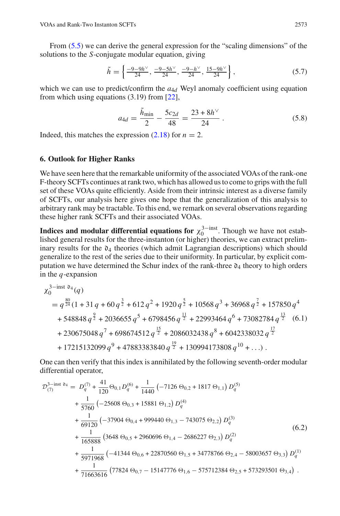From [\(5.5\)](#page-19-4) we can derive the general expression for the "scaling dimensions" of the solutions to the *S*-conjugate modular equation, giving he "sc<br> $\frac{-9h^{\vee}}{24}$ 

$$
\tilde{h} = \left\{ \frac{-9 - 9h^{\vee}}{24}, \frac{-9 - 5h^{\vee}}{24}, \frac{-9 - h^{\vee}}{24}, \frac{15 - 9h^{\vee}}{24} \right\},\tag{5.7}
$$

which we can use to predict/confirm the  $a_{4d}$  Weyl anomaly coefficient using equation from which using equations (3.19) from [\[22\]](#page-25-0),

$$
a_{4d} = \frac{\tilde{h}_{\text{min}}}{2} - \frac{5c_{2d}}{48} = \frac{23 + 8h^{\vee}}{24} \,. \tag{5.8}
$$

Indeed, this matches the expression  $(2.18)$  for  $n = 2$ .

#### <span id="page-20-0"></span>**6. Outlook for Higher Ranks**

We have seen here that the remarkable uniformity of the associated VOAs of the rank-one F-theory SCFTs continues at rank two, which has allowed us to come to grips with the full set of these VOAs quite efficiently. Aside from their intrinsic interest as a diverse family of SCFTs, our analysis here gives one hope that the generalization of this analysis to arbitrary rank may be tractable. To this end, we remark on several observations regarding these higher rank SCFTs and their associated VOAs.

**Indices and modular differential equations for**  $\chi_0^{3-\text{inst}}$ . Though we have not established general results for the three-instanton (or higher) theories, we can extract preliminary results for the  $\mathfrak{d}_4$  theories (which admit Lagrangian descriptions) which should generalize to the rest of the series due to their uniformity. In particular, by explicit computation we have determined the Schur index of the rank-three  $\mathfrak{d}_4$  theory to high orders in the *q*-expansion

<span id="page-20-1"></span>
$$
\chi_0^{3-\text{inst } 04}(q)
$$
\n
$$
= q^{\frac{80}{24}}(1 + 31 q + 60 q^{\frac{3}{2}} + 612 q^2 + 1920 q^{\frac{5}{2}} + 10568 q^3 + 36968 q^{\frac{7}{2}} + 157850 q^4
$$
\n
$$
+ 548848 q^{\frac{9}{2}} + 2036655 q^5 + 6798456 q^{\frac{11}{2}} + 22993464 q^6 + 73082784 q^{\frac{13}{2}} \quad (6.1)
$$
\n
$$
+ 230675048 q^7 + 698674512 q^{\frac{15}{2}} + 2086032438 q^8 + 6042338032 q^{\frac{17}{2}}
$$
\n
$$
+ 17215132099 q^9 + 47883383840 q^{\frac{19}{2}} + 130994173808 q^{10} + \dots).
$$

One can then verify that this index is annihilated by the following seventh-order modular differential operator,

$$
\mathcal{D}_{(7)}^{3-\text{inst }04} = D_q^{(7)} + \frac{41}{120} \Theta_{0,1} D_q^{(6)} + \frac{1}{1440} \left( -7126 \Theta_{0,2} + 1817 \Theta_{1,1} \right) D_q^{(5)} \n+ \frac{1}{5760} \left( -25608 \Theta_{0,3} + 15881 \Theta_{1,2} \right) D_q^{(4)} \n+ \frac{1}{69120} \left( -37904 \Theta_{0,4} + 999440 \Theta_{1,3} - 743075 \Theta_{2,2} \right) D_q^{(3)} \n+ \frac{1}{165888} \left( 3648 \Theta_{0,5} + 2960696 \Theta_{1,4} - 2686227 \Theta_{2,3} \right) D_q^{(2)} \n+ \frac{1}{5971968} \left( -41344 \Theta_{0,6} + 22870560 \Theta_{1,5} + 34778766 \Theta_{2,4} - 58003657 \Theta_{3,3} \right) D_q^{(1)} \n+ \frac{1}{71663616} \left( 77824 \Theta_{0,7} - 15147776 \Theta_{1,6} - 575712384 \Theta_{2,5} + 573293501 \Theta_{3,4} \right) .
$$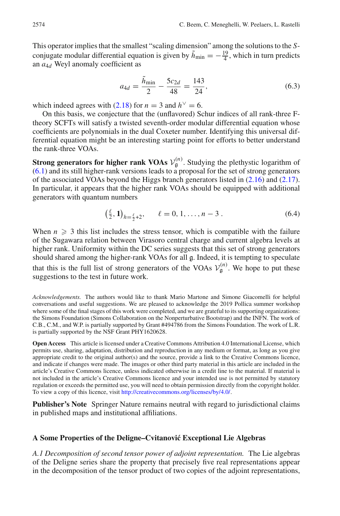This operator implies that the smallest "scaling dimension" among the solutions to the *S*conjugate modular differential equation is given by  $\tilde{h}_{\text{min}} = -\frac{19}{4}$ , which in turn predicts an *a*4*<sup>d</sup>* Weyl anomaly coefficient as

$$
a_{4d} = \frac{h_{\min}}{2} - \frac{5c_{2d}}{48} = \frac{143}{24},\tag{6.3}
$$

which indeed agrees with [\(2.18\)](#page-6-0) for  $n = 3$  and  $h<sup>0</sup> = 6$ .

On this basis, we conjecture that the (unflavored) Schur indices of all rank-three Ftheory SCFTs will satisfy a twisted seventh-order modular differential equation whose coefficients are polynomials in the dual Coxeter number. Identifying this universal differential equation might be an interesting starting point for efforts to better understand the rank-three VOAs.

**Strong generators for higher rank VOAs**  $V_g^{(n)}$ . Studying the plethystic logarithm of [\(6.1\)](#page-20-1) and its still higher-rank versions leads to a proposal for the set of strong generators of the associated VOAs beyond the Higgs branch generators listed in [\(2.16\)](#page-6-1) and [\(2.17\)](#page-6-2). In particular, it appears that the higher rank VOAs should be equipped with additional generators with quantum numbers

$$
\left(\frac{\ell}{2}, 1\right)_{h=\frac{\ell}{2}+2}, \qquad \ell = 0, 1, \dots, n-3 \tag{6.4}
$$

When  $n \geqslant 3$  this list includes the stress tensor, which is compatible with the failure of the Sugawara relation between Virasoro central charge and current algebra levels at higher rank. Uniformity within the DC series suggests that this set of strong generators should shared among the higher-rank VOAs for all g. Indeed, it is tempting to speculate that this is the full list of strong generators of the VOAs  $V_{\mathfrak{g}}^{(n)}$ . We hope to put these suggestions to the test in future work.

*Acknowledgements.* The authors would like to thank Mario Martone and Simone Giacomelli for helpful conversations and useful suggestions. We are pleased to acknowledge the 2019 Pollica summer workshop where some of the final stages of this work were completed, and we are grateful to its supporting organizations: the Simons Foundation (Simons Collaboration on the Nonperturbative Bootstrap) and the INFN. The work of C.B., C.M., and W.P. is partially supported by Grant #494786 from the Simons Foundation. The work of L.R. is partially supported by the NSF Grant PHY1620628.

**Open Access** This article is licensed under a Creative Commons Attribution 4.0 International License, which permits use, sharing, adaptation, distribution and reproduction in any medium or format, as long as you give appropriate credit to the original author(s) and the source, provide a link to the Creative Commons licence, and indicate if changes were made. The images or other third party material in this article are included in the article's Creative Commons licence, unless indicated otherwise in a credit line to the material. If material is not included in the article's Creative Commons licence and your intended use is not permitted by statutory regulation or exceeds the permitted use, you will need to obtain permission directly from the copyright holder. To view a copy of this licence, visit [http://creativecommons.org/licenses/by/4.0/.](http://creativecommons.org/licenses/by/4.0/)

**Publisher's Note** Springer Nature remains neutral with regard to jurisdictional claims in published maps and institutional affiliations.

#### <span id="page-21-0"></span>**A Some Properties of the Deligne–Cvitanovi´c Exceptional Lie Algebras**

*A.1 Decomposition of second tensor power of adjoint representation.* The Lie algebras of the Deligne series share the property that precisely five real representations appear in the decomposition of the tensor product of two copies of the adjoint representations,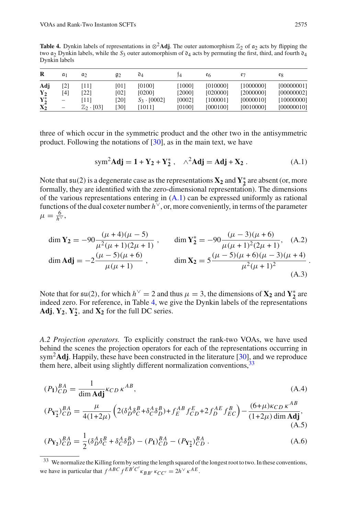<span id="page-22-1"></span>**Table 4.** Dynkin labels of representations in  $\otimes^2$ **Adi**. The outer automorphism  $\mathbb{Z}_2$  of  $\alpha_2$  acts by flipping the two  $a_2$  Dynkin labels, while the  $S_3$  outer automorphism of  $\mathfrak{d}_4$  acts by permuting the first, third, and fourth  $\mathfrak{d}_4$ Dynkin labels

| R       | a <sub>1</sub>  | a2                    | $g_2$ | 04                 |        | e6       |           | eg         |
|---------|-----------------|-----------------------|-------|--------------------|--------|----------|-----------|------------|
| Adi     | 21              | 111                   | [01]  | [0100]             | 10001  | [010000] | [1000000] | [00000001] |
| $Y_2$   | [4]             | [22]                  | [02]  | [0200]             | [2000] | [020000] | [2000000] | [00000002] |
| $Y^*_2$ | -               | '111                  | [20]  | $S_3 \cdot [0002]$ | [0002] | 1000011  | [0000010] | [10000000] |
| $X_2$   | $\qquad \qquad$ | $\mathbb{Z}_2$ · [03] | [30]  | [1011]             | [0100] | [000100] | [0010000] | [00000010] |

three of which occur in the symmetric product and the other two in the antisymmetric product. Following the notations of [\[30\]](#page-25-8), as in the main text, we have

<span id="page-22-0"></span>
$$
\text{sym}^2 \mathbf{Adj} = \mathbf{1} + \mathbf{Y}_2 + \mathbf{Y}_2^*, \quad \wedge^2 \mathbf{Adj} = \mathbf{Adj} + \mathbf{X}_2 \,. \tag{A.1}
$$

Note that  $\mathfrak{su}(2)$  is a degenerate case as the representations  $X_2$  and  $Y_2^*$  are absent (or, more formally, they are identified with the zero-dimensional representation). The dimensions of the various representations entering in  $(A.1)$  can be expressed uniformly as rational functions of the dual coxeter number  $h^{\vee}$ , or, more conveniently, in terms of the parameter  $\mu = \frac{6}{h^{\vee}},$ 

$$
\dim \mathbf{Y}_2 = -90 \frac{(\mu + 4)(\mu - 5)}{\mu^2(\mu + 1)(2\mu + 1)}, \quad \dim \mathbf{Y}_2^* = -90 \frac{(\mu - 3)(\mu + 6)}{\mu(\mu + 1)^2(2\mu + 1)}, \quad \text{(A.2)}
$$
  

$$
\dim \mathbf{Adj} = -2 \frac{(\mu - 5)(\mu + 6)}{\mu(\mu + 1)}, \quad \dim \mathbf{X}_2 = 5 \frac{(\mu - 5)(\mu + 6)(\mu - 3)(\mu + 4)}{\mu^2(\mu + 1)^2}.
$$

Note that for  $\mathfrak{su}(2)$ , for which  $h^{\vee} = 2$  and thus  $\mu = 3$ , the dimensions of **X**<sub>2</sub> and **Y**<sup>\*</sup><sub>2</sub> are indeed zero. For reference, in Table [4,](#page-22-1) we give the Dynkin labels of the representations **Adj**,  $Y_2$ ,  $Y_2^*$ , and  $X_2$  for the full DC series.

*A.2 Projection operators.* To explicitly construct the rank-two VOAs, we have used behind the scenes the projection operators for each of the representations occurring in sym2**Adj**. Happily, these have been constructed in the literature [\[30\]](#page-25-8), and we reproduce them here, albeit using slightly different normalization conventions,  $33$ 

$$
(P_1)_{CD}^{BA} = \frac{1}{\dim \mathbf{Adj}} \kappa_{CD} \kappa^{AB},
$$
\n
$$
(P_{Y_2^*})_{CD}^{BA} = \frac{\mu}{A(1+2\mu)} \left( 2(\delta_D^A \delta_C^B + \delta_C^A \delta_D^B) + f_E^{AB} f_{CD}^E + 2f_D^{AE} f_{EC}^B \right) - \frac{(6+\mu)\kappa_{CD} \kappa^{AB}}{(1+2\mu)\dim \mathbf{Adj}},
$$
\n(A.4)

$$
(P_{\mathbf{Y}_{2}^{*}})^{BA}_{CD} = \frac{\mu}{4(1+2\mu)} \left( 2(\delta_{D}^{A}\delta_{C}^{B} + \delta_{C}^{A}\delta_{D}^{B}) + f_{E}^{AB} f_{CD}^{E} + 2f_{D}^{AE} f_{EC}^{B} \right) - \frac{(6+\mu)\kappa_{CD}\kappa^{AB}}{(1+2\mu)\dim\mathbf{Adj}},
$$
\n(A.5)

$$
(P_{Y_2})_{CD}^{BA} = \frac{1}{2} (\delta_D^A \delta_C^B + \delta_C^A \delta_D^B) - (P_1)_{CD}^{BA} - (P_{Y_2^*})_{CD}^{BA}.
$$
 (A.6)

<span id="page-22-2"></span><sup>&</sup>lt;sup>33</sup> We normalize the Killing form by setting the length squared of the longest root to two. In these conventions, we have in particular that  $f^{ABC} f^{EB'C'} \kappa_{BB'} \kappa_{CC'} = 2h^{\vee} \kappa^{AE}$ .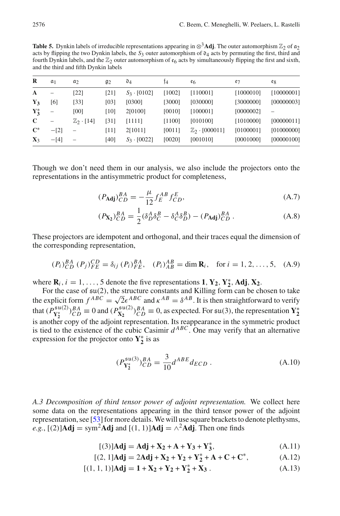<span id="page-23-0"></span>**Table 5.** Dynkin labels of irreducible representations appearing in  $\otimes$ <sup>3</sup>**Adj**. The outer automorphism  $\mathbb{Z}_2$  of  $\mathfrak{a}_2$ acts by flipping the two Dynkin labels, the  $S_3$  outer automorphism of  $\mathfrak{d}_4$  acts by permuting the first, third and fourth Dynkin labels, and the  $\mathbb{Z}_2$  outer automorphism of  $\epsilon_6$  acts by simultaneously flipping the first and sixth, and the third and fifth Dynkin labels

| R              | $a_1$  | $a_2$               | $g_2$ | $\mathfrak{d}_4$   | Ť4     | e6                        | e7        | eg         |
|----------------|--------|---------------------|-------|--------------------|--------|---------------------------|-----------|------------|
| $\mathbf{A}$   |        | [22]                | [21]  | $S_3$ - [0102]     | [1002] | [110001]                  | [1000010] | [10000001] |
| $Y_3$          | [6]    | [33]                | [03]  | [0300]             | [3000] | [030000]                  | [3000000] | [00000003] |
| $Y_2^*$        | -      | [00]                | [10]  | 2[0100]            | [0010] | [100001]                  | [0000002] |            |
| C              |        | $\mathbb{Z}_2$ [14] | [31]  | [1111]             | [1100] | [010100]                  | [1010000] | [00000011] |
| $\mathbf{C}^*$ | $-[2]$ |                     | [11]  | 2[1011]            | [0011] | $\mathbb{Z}_2$ · [000011] | [0100001] | [01000000] |
| $\mathbf{X}_3$ | $-[4]$ | $\qquad \qquad -$   | [40]  | $S_3 \cdot [0022]$ | [0020] | [001010]                  | [0001000] | [00000100] |

Though we don't need them in our analysis, we also include the projectors onto the representations in the antisymmetric product for completeness,

$$
(P_{\text{Adj}})^{BA}_{CD} = -\frac{\mu}{12} f_E^{AB} f_{CD}^E,
$$
\n(A.7)

$$
(P_{\mathbf{X}_2})_{CD}^{BA} = \frac{1}{2} (\delta_D^A \delta_C^B - \delta_C^A \delta_D^B) - (P_{\mathbf{Adj}})_{CD}^{BA} .
$$
 (A.8)

These projectors are idempotent and orthogonal, and their traces equal the dimension of the corresponding representation,

$$
(P_i)_{CD}^{BA} (P_j)_{FE}^{CD} = \delta_{ij} (P_i)_{FE}^{BA}, \quad (P_i)_{AB}^{AB} = \dim \mathbf{R}_i, \quad \text{for } i = 1, 2, \dots, 5, \quad (A.9)
$$

where  $\mathbf{R}_i$ ,  $i = 1, \ldots, 5$  denote the five representations **1**,  $\mathbf{Y}_2$ ,  $\mathbf{Y}_2^*$ , **Adj**,  $\mathbf{X}_2$ .

For the case of su(2), the structure constants and Killing form can be chosen to take the explicit form  $f^{ABC} = \sqrt{2} \epsilon^{ABC}$  and  $\kappa^{AB} = \delta^{AB}$ . It is then straightforward to verify that  $(P_{Y_2^*}^{su(2)})_{CD}^{BA} \equiv 0$  and  $(P_{X_2}^{su(2)})_{CD}^{BA} \equiv 0$ , as expected. For  $su(3)$ , the representation  $Y_2^*$ is another copy of the adjoint representation. Its reappearance in the symmetric product is tied to the existence of the cubic Casimir  $d^{ABC}$ . One may verify that an alternative expression for the projector onto  $Y_2^*$  is as

$$
(P_{Y_2^*}^{su(3)})_{CD}^{BA} = \frac{3}{10} d^{ABE} d_{ECD} .
$$
 (A.10)

*A.3 Decomposition of third tensor power of adjoint representation.* We collect here some data on the representations appearing in the third tensor power of the adjoint representation, see [\[53](#page-25-28)] for more details.We will use square brackets to denote plethysms,  $e.g.,$  [(2)]**Adj** = sym<sup>2</sup>**Adj** and [(1, 1)]**Adj** =  $\wedge^2$ **Adj**. Then one finds

$$
[(3)]Adj = Adj + X_2 + A + Y_3 + Y_3^*,
$$
 (A.11)

$$
[(2, 1]\mathbf{Adj} = 2\mathbf{Adj} + \mathbf{X}_2 + \mathbf{Y}_2 + \mathbf{Y}_2^* + \mathbf{A} + \mathbf{C} + \mathbf{C}^*,
$$
 (A.12)

$$
[(1, 1, 1)]\mathbf{Adj} = \mathbf{1} + \mathbf{X}_2 + \mathbf{Y}_2 + \mathbf{Y}_2^* + \mathbf{X}_3. \tag{A.13}
$$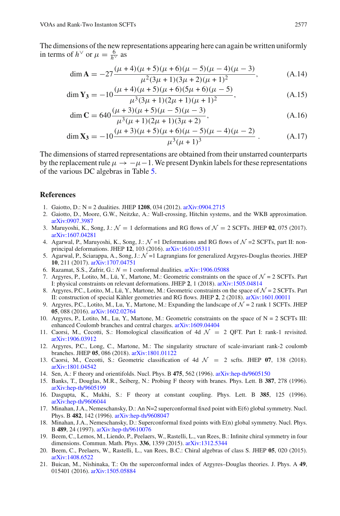The dimensions of the new representations appearing here can again be written uniformly in terms of  $h^{\vee}$  or  $\mu = \frac{6}{h^{\vee}}$  as

$$
\dim \mathbf{A} = -27 \frac{(\mu + 4)(\mu + 5)(\mu + 6)(\mu - 5)(\mu - 4)(\mu - 3)}{\mu^2 (3\mu + 1)(3\mu + 2)(\mu + 1)^2},
$$
\n(A.14)

$$
\dim Y_3 = -10 \frac{(\mu + 4)(\mu + 5)(\mu + 6)(5\mu + 6)(\mu - 5)}{\mu^3 (3\mu + 1)(2\mu + 1)(\mu + 1)^2},
$$
\n(A.15)

$$
\dim \mathbf{C} = 640 \frac{(\mu + 3)(\mu + 5)(\mu - 5)(\mu - 3)}{\mu^3(\mu + 1)(2\mu + 1)(3\mu + 2)},
$$
\n(A.16)

$$
\dim \mathbf{X_3} = -10 \frac{(\mu + 3)(\mu + 5)(\mu + 6)(\mu - 5)(\mu - 4)(\mu - 2)}{\mu^3(\mu + 1)^3} \,. \tag{A.17}
$$

The dimensions of starred representations are obtained from their unstarred counterparts by the replacement rule  $\mu \to -\mu - 1$ . We present Dynkin labels for these representations of the various DC algebras in Table [5.](#page-23-0)

#### **References**

- <span id="page-24-0"></span>1. Gaiotto, D.: N = 2 dualities. JHEP **1208**, 034 (2012). [arXiv:0904.2715](http://arxiv.org/abs/0904.2715)
- <span id="page-24-1"></span>2. Gaiotto, D., Moore, G.W., Neitzke, A.: Wall-crossing, Hitchin systems, and the WKB approximation. [arXiv:0907.3987](http://arxiv.org/abs/0907.3987)
- <span id="page-24-10"></span>3. Maruyoshi, K., Song, J.:  $\mathcal{N} = 1$  deformations and RG flows of  $\mathcal{N} = 2$  SCFTs. JHEP 02, 075 (2017). [arXiv:1607.04281](http://arxiv.org/abs/1607.04281)
- 4. Agarwal, P., Maruyoshi, K., Song, J.:  $\mathcal{N} = 1$  Deformations and RG flows of  $\mathcal{N} = 2$  SCFTs, part II: nonprincipal deformations. JHEP **12**, 103 (2016). [arXiv:1610.05311](http://arxiv.org/abs/1610.05311)
- <span id="page-24-11"></span>5. Agarwal, P., Sciarappa, A., Song, J.: *N* =1 Lagrangians for generalized Argyres-Douglas theories. JHEP **10**, 211 (2017). [arXiv:1707.04751](http://arxiv.org/abs/1707.04751)
- <span id="page-24-12"></span>6. Razamat, S.S., Zafrir, G.:  $N = 1$  conformal dualities.  $arXiv:1906.05088$
- <span id="page-24-2"></span>7. Argyres, P., Lotito, M., Lü, Y., Martone, M.: Geometric constraints on the space of *N* = 2 SCFTs. Part I: physical constraints on relevant deformations. JHEP **2**, 1 (2018). [arXiv:1505.04814](http://arxiv.org/abs/1505.04814)
- 8. Argyres, P.C., Lotito, M., Lü, Y., Martone, M.: Geometric constraints on the space of *N* = 2 SCFTs. Part II: construction of special Kähler geometries and RG flows. JHEP **2**, 2 (2018). [arXiv:1601.00011](http://arxiv.org/abs/1601.00011)
- 9. Argyres, P.C., Lotito, M., Lu, Y., Martone, M.: Expanding the landscape of *N* = 2 rank 1 SCFTs. JHEP **05**, 088 (2016). [arXiv:1602.02764](http://arxiv.org/abs/1602.02764)
- <span id="page-24-3"></span>10. Argyres, P., Lotito, M., Lu, Y., Martone, M.: Geometric constraints on the space of N = 2 SCFTs III: enhanced Coulomb branches and central charges. [arXiv:1609.04404](http://arxiv.org/abs/1609.04404)
- <span id="page-24-4"></span>11. Caorsi, M., Cecotti, S.: Homological classification of 4d  $\mathcal{N} = 2$  QFT. Part I: rank-1 revisited. [arXiv:1906.03912](http://arxiv.org/abs/1906.03912)
- <span id="page-24-5"></span>12. Argyres, P.C., Long, C., Martone, M.: The singularity structure of scale-invariant rank-2 coulomb branches. JHEP **05**, 086 (2018). [arXiv:1801.01122](http://arxiv.org/abs/1801.01122)
- <span id="page-24-6"></span>13. Caorsi, M., Cecotti, S.: Geometric classification of 4d *N* = 2 scfts. JHEP **07**, 138 (2018). [arXiv:1801.04542](http://arxiv.org/abs/1801.04542)
- <span id="page-24-7"></span>14. Sen, A.: F theory and orientifolds. Nucl. Phys. B **475**, 562 (1996). [arXiv:hep-th/9605150](http://arxiv.org/abs/hep-th/9605150)
- 15. Banks, T., Douglas, M.R., Seiberg, N.: Probing F theory with branes. Phys. Lett. B **387**, 278 (1996). [arXiv:hep-th/9605199](http://arxiv.org/abs/hep-th/9605199)
- 16. Dasgupta, K., Mukhi, S.: F theory at constant coupling. Phys. Lett. B **385**, 125 (1996). [arXiv:hep-th/9606044](http://arxiv.org/abs/hep-th/9606044)
- 17. Minahan, J.A., Nemeschansky, D.: An N=2 superconformal fixed point with E(6) global symmetry. Nucl. Phys. B **482**, 142 (1996). [arXiv:hep-th/9608047](http://arxiv.org/abs/hep-th/9608047)
- <span id="page-24-8"></span>18. Minahan, J.A., Nemeschansky, D.: Superconformal fixed points with E(n) global symmetry. Nucl. Phys. B **489**, 24 (1997). [arXiv:hep-th/9610076](http://arxiv.org/abs/hep-th/9610076)
- <span id="page-24-9"></span>19. Beem, C., Lemos, M., Liendo, P., Peelaers, W., Rastelli, L., van Rees, B.: Infinite chiral symmetry in four dimensions. Commun. Math. Phys. **336**, 1359 (2015). [arXiv:1312.5344](http://arxiv.org/abs/1312.5344)
- <span id="page-24-13"></span>20. Beem, C., Peelaers, W., Rastelli, L., van Rees, B.C.: Chiral algebras of class S. JHEP **05**, 020 (2015). [arXiv:1408.6522](http://arxiv.org/abs/1408.6522)
- 21. Buican, M., Nishinaka, T.: On the superconformal index of Argyres–Douglas theories. J. Phys. A **49**, 015401 (2016). [arXiv:1505.05884](http://arxiv.org/abs/1505.05884)